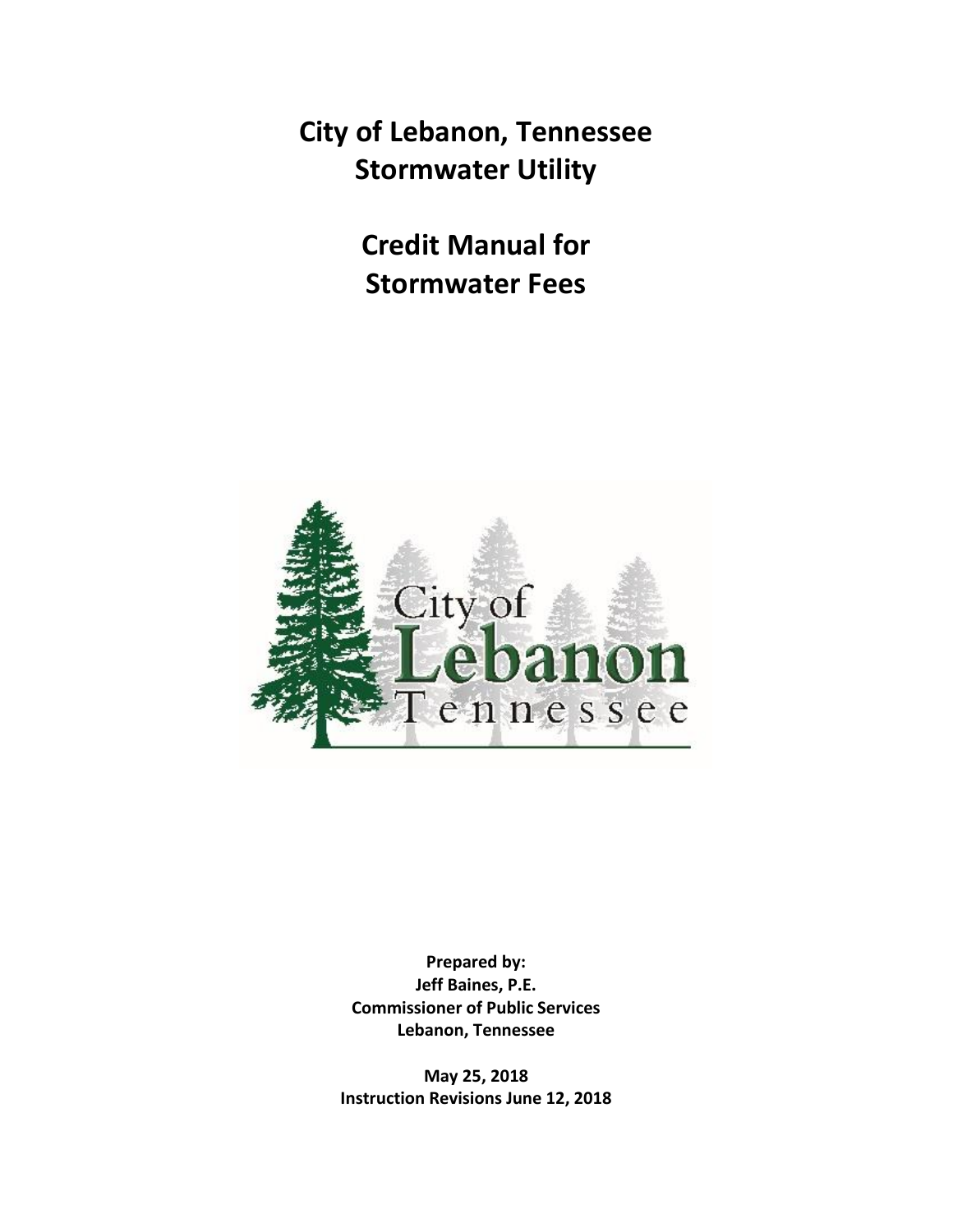**City of Lebanon, Tennessee Stormwater Utility**

> **Credit Manual for Stormwater Fees**



**Prepared by: Jeff Baines, P.E. Commissioner of Public Services Lebanon, Tennessee**

**May 25, 2018 Instruction Revisions June 12, 2018**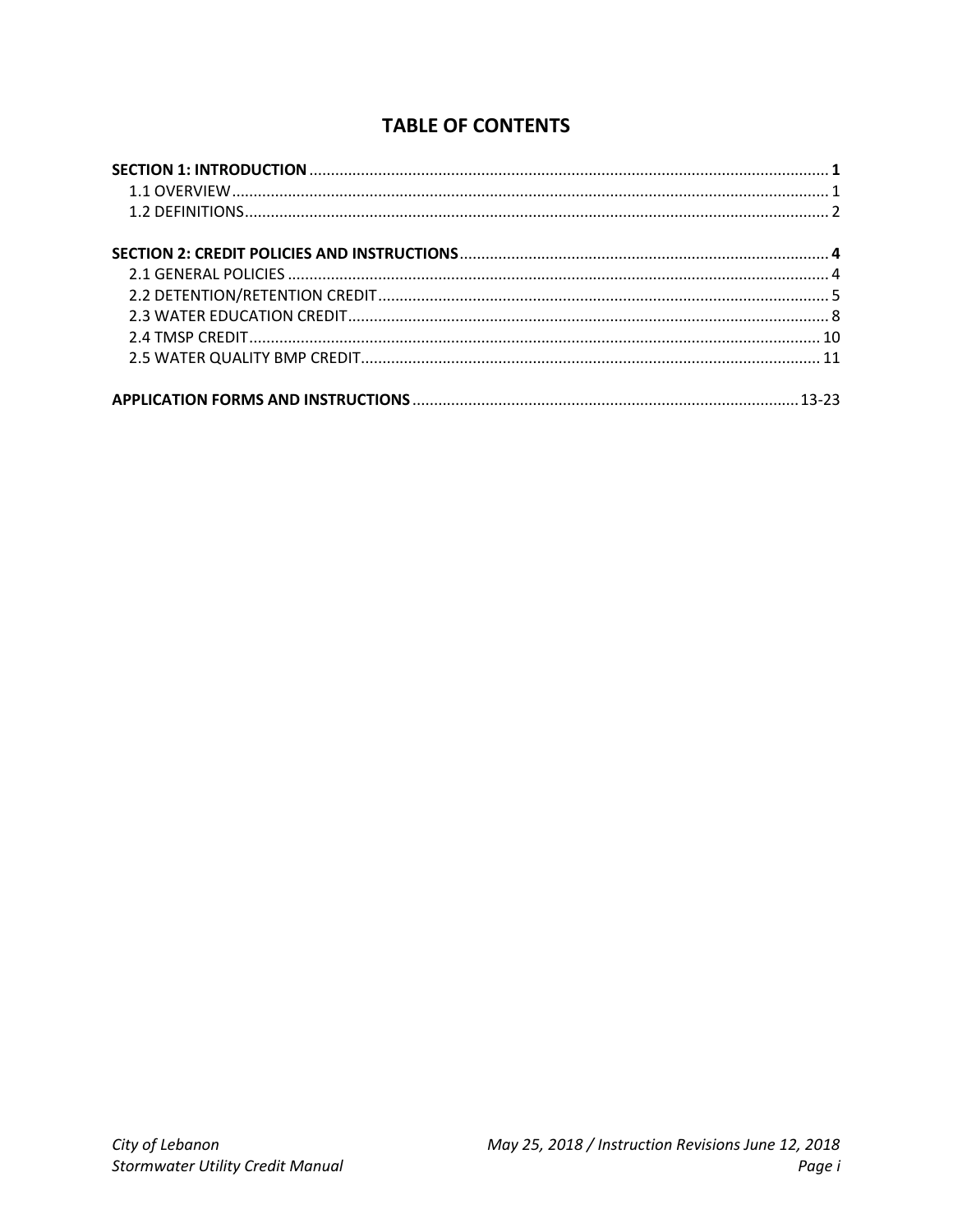# **TABLE OF CONTENTS**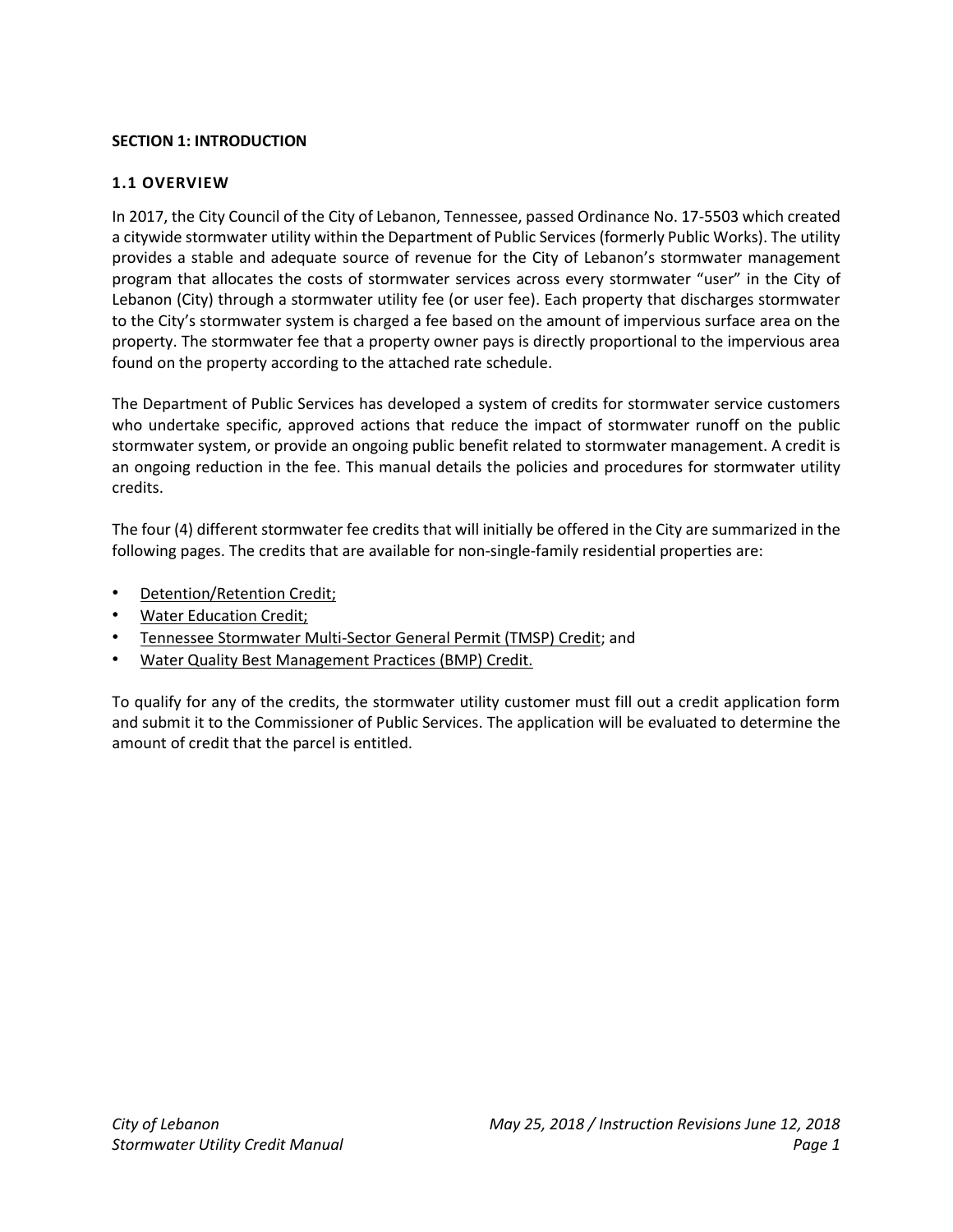### **SECTION 1: INTRODUCTION**

### **1.1 OVERVIEW**

In 2017, the City Council of the City of Lebanon, Tennessee, passed Ordinance No. 17-5503 which created a citywide stormwater utility within the Department of Public Services (formerly Public Works). The utility provides a stable and adequate source of revenue for the City of Lebanon's stormwater management program that allocates the costs of stormwater services across every stormwater "user" in the City of Lebanon (City) through a stormwater utility fee (or user fee). Each property that discharges stormwater to the City's stormwater system is charged a fee based on the amount of impervious surface area on the property. The stormwater fee that a property owner pays is directly proportional to the impervious area found on the property according to the attached rate schedule.

The Department of Public Services has developed a system of credits for stormwater service customers who undertake specific, approved actions that reduce the impact of stormwater runoff on the public stormwater system, or provide an ongoing public benefit related to stormwater management. A credit is an ongoing reduction in the fee. This manual details the policies and procedures for stormwater utility credits.

The four (4) different stormwater fee credits that will initially be offered in the City are summarized in the following pages. The credits that are available for non-single-family residential properties are:

- Detention/Retention Credit;
- Water Education Credit;
- Tennessee Stormwater Multi-Sector General Permit (TMSP) Credit; and
- Water Quality Best Management Practices (BMP) Credit.

To qualify for any of the credits, the stormwater utility customer must fill out a credit application form and submit it to the Commissioner of Public Services. The application will be evaluated to determine the amount of credit that the parcel is entitled.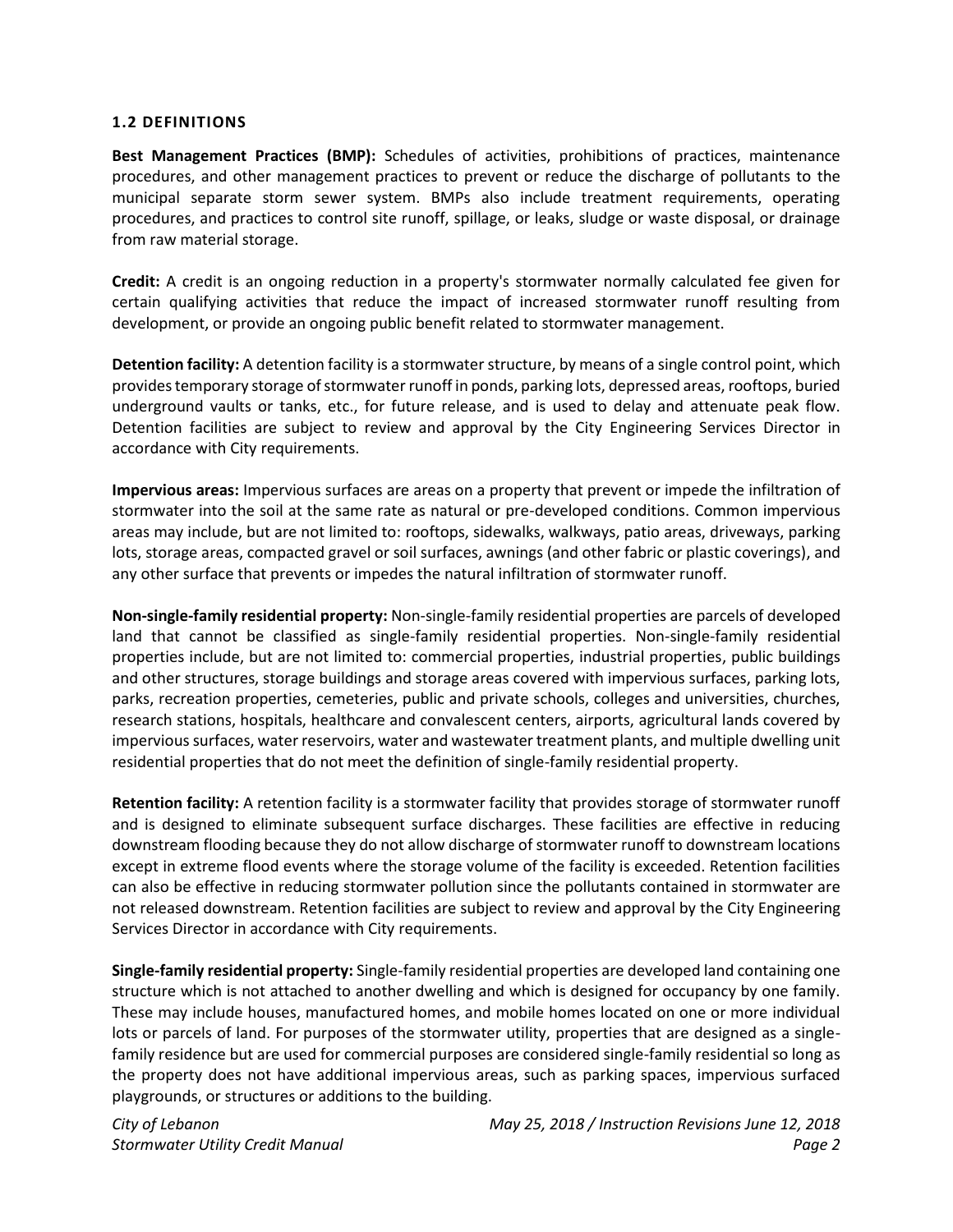### **1.2 DEFINITIONS**

**Best Management Practices (BMP):** Schedules of activities, prohibitions of practices, maintenance procedures, and other management practices to prevent or reduce the discharge of pollutants to the municipal separate storm sewer system. BMPs also include treatment requirements, operating procedures, and practices to control site runoff, spillage, or leaks, sludge or waste disposal, or drainage from raw material storage.

**Credit:** A credit is an ongoing reduction in a property's stormwater normally calculated fee given for certain qualifying activities that reduce the impact of increased stormwater runoff resulting from development, or provide an ongoing public benefit related to stormwater management.

**Detention facility:** A detention facility is a stormwater structure, by means of a single control point, which provides temporary storage of stormwater runoff in ponds, parking lots, depressed areas, rooftops, buried underground vaults or tanks, etc., for future release, and is used to delay and attenuate peak flow. Detention facilities are subject to review and approval by the City Engineering Services Director in accordance with City requirements.

**Impervious areas:** Impervious surfaces are areas on a property that prevent or impede the infiltration of stormwater into the soil at the same rate as natural or pre-developed conditions. Common impervious areas may include, but are not limited to: rooftops, sidewalks, walkways, patio areas, driveways, parking lots, storage areas, compacted gravel or soil surfaces, awnings (and other fabric or plastic coverings), and any other surface that prevents or impedes the natural infiltration of stormwater runoff.

**Non-single-family residential property:** Non-single-family residential properties are parcels of developed land that cannot be classified as single-family residential properties. Non-single-family residential properties include, but are not limited to: commercial properties, industrial properties, public buildings and other structures, storage buildings and storage areas covered with impervious surfaces, parking lots, parks, recreation properties, cemeteries, public and private schools, colleges and universities, churches, research stations, hospitals, healthcare and convalescent centers, airports, agricultural lands covered by impervious surfaces, water reservoirs, water and wastewater treatment plants, and multiple dwelling unit residential properties that do not meet the definition of single-family residential property.

**Retention facility:** A retention facility is a stormwater facility that provides storage of stormwater runoff and is designed to eliminate subsequent surface discharges. These facilities are effective in reducing downstream flooding because they do not allow discharge of stormwater runoff to downstream locations except in extreme flood events where the storage volume of the facility is exceeded. Retention facilities can also be effective in reducing stormwater pollution since the pollutants contained in stormwater are not released downstream. Retention facilities are subject to review and approval by the City Engineering Services Director in accordance with City requirements.

**Single-family residential property:** Single-family residential properties are developed land containing one structure which is not attached to another dwelling and which is designed for occupancy by one family. These may include houses, manufactured homes, and mobile homes located on one or more individual lots or parcels of land. For purposes of the stormwater utility, properties that are designed as a singlefamily residence but are used for commercial purposes are considered single-family residential so long as the property does not have additional impervious areas, such as parking spaces, impervious surfaced playgrounds, or structures or additions to the building.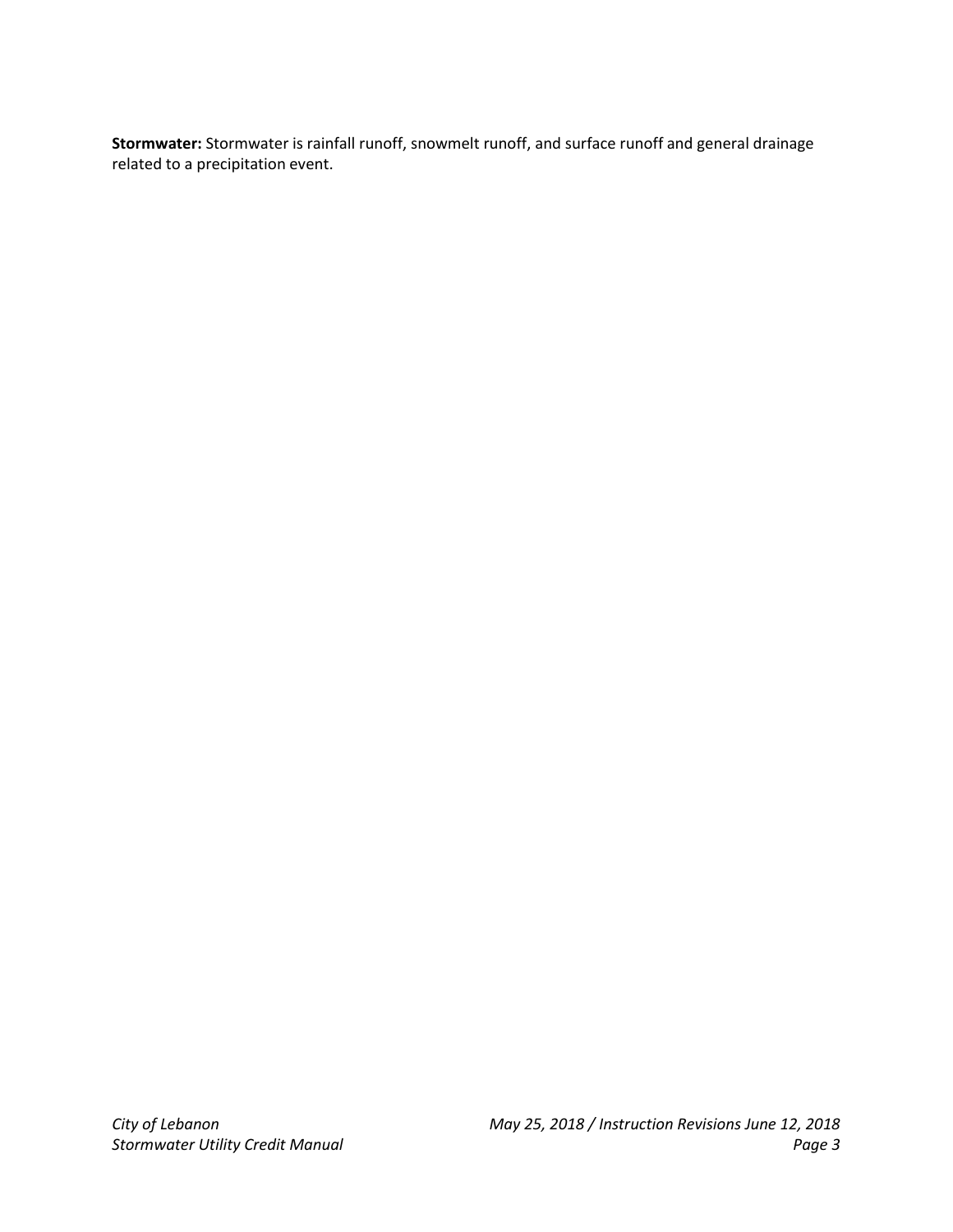**Stormwater:** Stormwater is rainfall runoff, snowmelt runoff, and surface runoff and general drainage related to a precipitation event.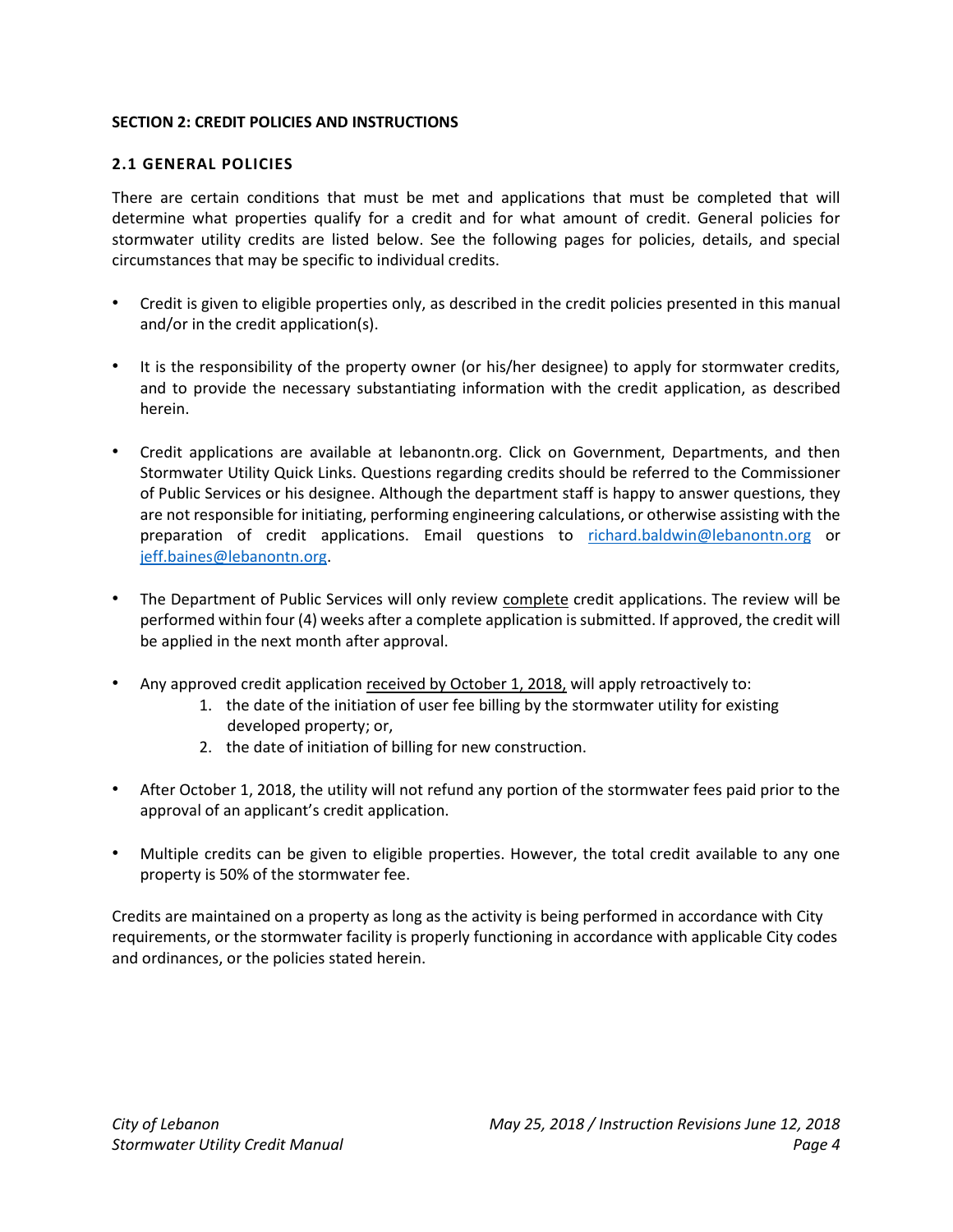### **SECTION 2: CREDIT POLICIES AND INSTRUCTIONS**

### **2.1 GENERAL POLICIES**

There are certain conditions that must be met and applications that must be completed that will determine what properties qualify for a credit and for what amount of credit. General policies for stormwater utility credits are listed below. See the following pages for policies, details, and special circumstances that may be specific to individual credits.

- Credit is given to eligible properties only, as described in the credit policies presented in this manual and/or in the credit application(s).
- It is the responsibility of the property owner (or his/her designee) to apply for stormwater credits, and to provide the necessary substantiating information with the credit application, as described herein.
- Credit applications are available at lebanontn.org. Click on Government, Departments, and then Stormwater Utility Quick Links. Questions regarding credits should be referred to the Commissioner of Public Services or his designee. Although the department staff is happy to answer questions, they are not responsible for initiating, performing engineering calculations, or otherwise assisting with the preparation of credit applications. Email questions to [richard.baldwin@lebanontn.org](mailto:richard.baldwin@lebanontn.org) or [jeff.baines@lebanontn.org.](mailto:jeff.baines@lebanontn.org)
- The Department of Public Services will only review complete credit applications. The review will be performed within four (4) weeks after a complete application is submitted. If approved, the credit will be applied in the next month after approval.
- Any approved credit application received by October 1, 2018, will apply retroactively to:
	- 1. the date of the initiation of user fee billing by the stormwater utility for existing developed property; or,
	- 2. the date of initiation of billing for new construction.
- After October 1, 2018, the utility will not refund any portion of the stormwater fees paid prior to the approval of an applicant's credit application.
- Multiple credits can be given to eligible properties. However, the total credit available to any one property is 50% of the stormwater fee.

Credits are maintained on a property as long as the activity is being performed in accordance with City requirements, or the stormwater facility is properly functioning in accordance with applicable City codes and ordinances, or the policies stated herein.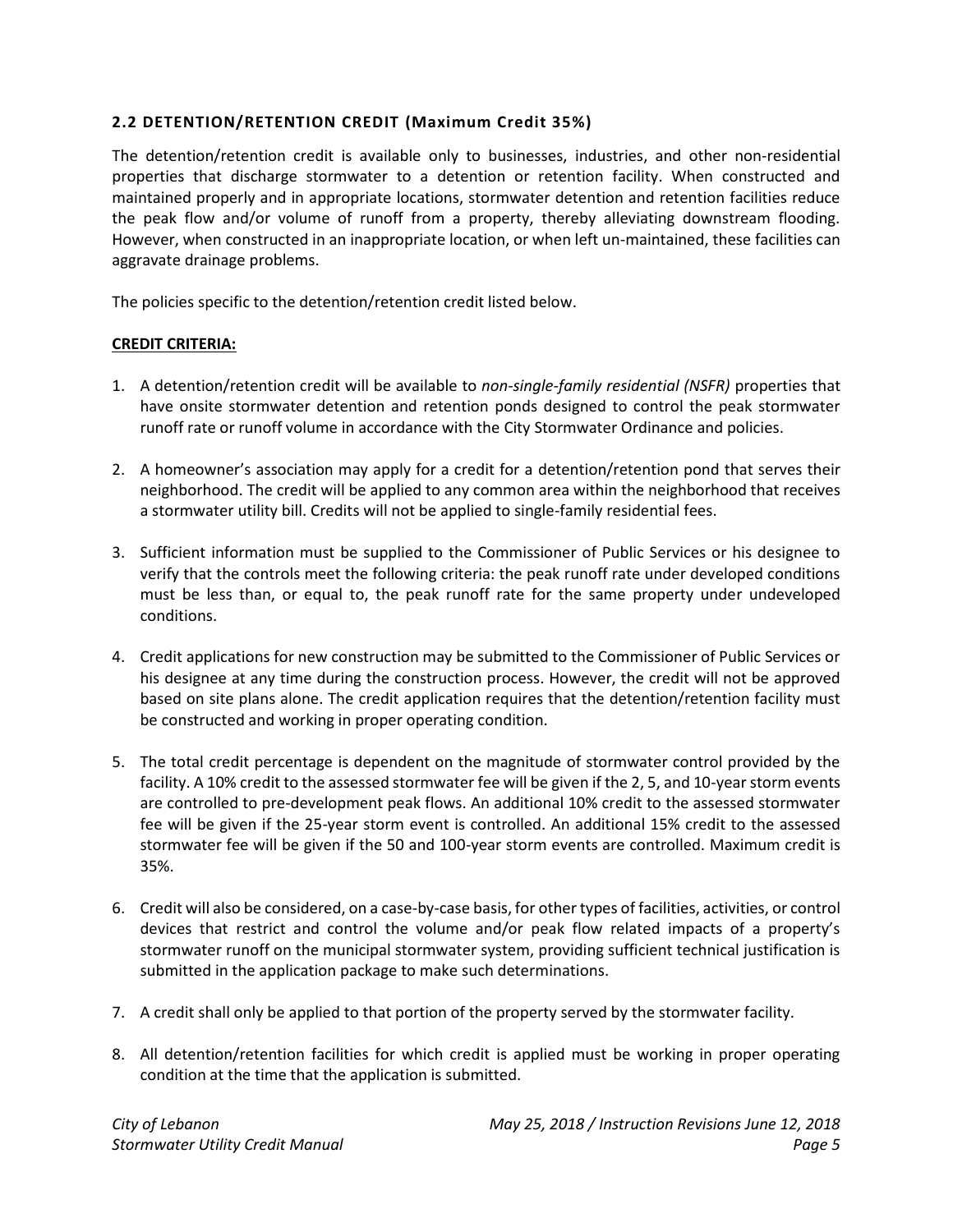### **2.2 DETENTION/RETENTION CREDIT (Maximum Credit 35%)**

The detention/retention credit is available only to businesses, industries, and other non-residential properties that discharge stormwater to a detention or retention facility. When constructed and maintained properly and in appropriate locations, stormwater detention and retention facilities reduce the peak flow and/or volume of runoff from a property, thereby alleviating downstream flooding. However, when constructed in an inappropriate location, or when left un-maintained, these facilities can aggravate drainage problems.

The policies specific to the detention/retention credit listed below.

### **CREDIT CRITERIA:**

- 1. A detention/retention credit will be available to *non-single-family residential (NSFR)* properties that have onsite stormwater detention and retention ponds designed to control the peak stormwater runoff rate or runoff volume in accordance with the City Stormwater Ordinance and policies.
- 2. A homeowner's association may apply for a credit for a detention/retention pond that serves their neighborhood. The credit will be applied to any common area within the neighborhood that receives a stormwater utility bill. Credits will not be applied to single-family residential fees.
- 3. Sufficient information must be supplied to the Commissioner of Public Services or his designee to verify that the controls meet the following criteria: the peak runoff rate under developed conditions must be less than, or equal to, the peak runoff rate for the same property under undeveloped conditions.
- 4. Credit applications for new construction may be submitted to the Commissioner of Public Services or his designee at any time during the construction process. However, the credit will not be approved based on site plans alone. The credit application requires that the detention/retention facility must be constructed and working in proper operating condition.
- 5. The total credit percentage is dependent on the magnitude of stormwater control provided by the facility. A 10% credit to the assessed stormwater fee will be given if the 2, 5, and 10-year storm events are controlled to pre-development peak flows. An additional 10% credit to the assessed stormwater fee will be given if the 25-year storm event is controlled. An additional 15% credit to the assessed stormwater fee will be given if the 50 and 100-year storm events are controlled. Maximum credit is 35%.
- 6. Credit will also be considered, on a case-by-case basis, for other types of facilities, activities, or control devices that restrict and control the volume and/or peak flow related impacts of a property's stormwater runoff on the municipal stormwater system, providing sufficient technical justification is submitted in the application package to make such determinations.
- 7. A credit shall only be applied to that portion of the property served by the stormwater facility.
- 8. All detention/retention facilities for which credit is applied must be working in proper operating condition at the time that the application is submitted.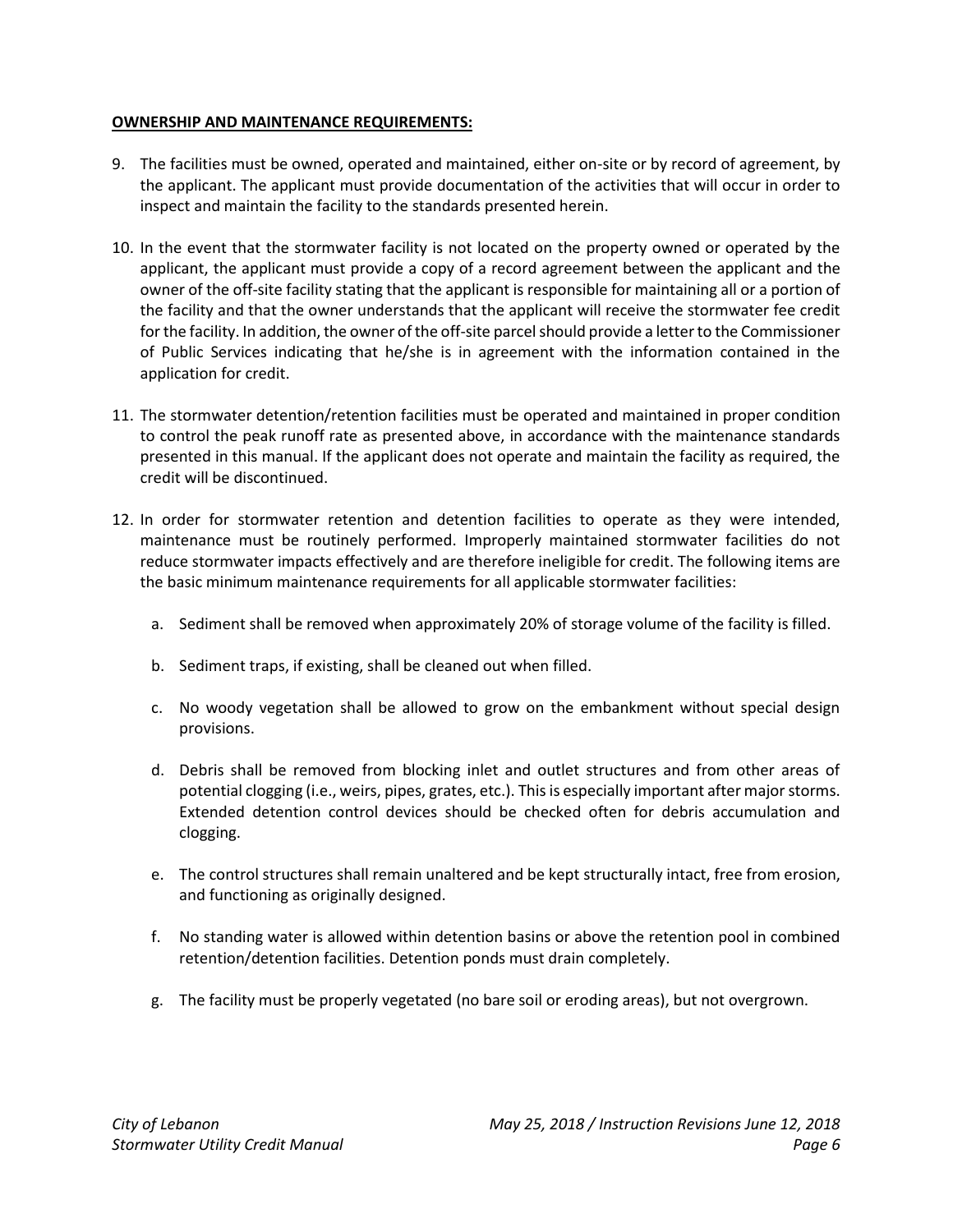### **OWNERSHIP AND MAINTENANCE REQUIREMENTS:**

- 9. The facilities must be owned, operated and maintained, either on-site or by record of agreement, by the applicant. The applicant must provide documentation of the activities that will occur in order to inspect and maintain the facility to the standards presented herein.
- 10. In the event that the stormwater facility is not located on the property owned or operated by the applicant, the applicant must provide a copy of a record agreement between the applicant and the owner of the off-site facility stating that the applicant is responsible for maintaining all or a portion of the facility and that the owner understands that the applicant will receive the stormwater fee credit for the facility. In addition, the owner of the off-site parcel should provide a letter to the Commissioner of Public Services indicating that he/she is in agreement with the information contained in the application for credit.
- 11. The stormwater detention/retention facilities must be operated and maintained in proper condition to control the peak runoff rate as presented above, in accordance with the maintenance standards presented in this manual. If the applicant does not operate and maintain the facility as required, the credit will be discontinued.
- 12. In order for stormwater retention and detention facilities to operate as they were intended, maintenance must be routinely performed. Improperly maintained stormwater facilities do not reduce stormwater impacts effectively and are therefore ineligible for credit. The following items are the basic minimum maintenance requirements for all applicable stormwater facilities:
	- a. Sediment shall be removed when approximately 20% of storage volume of the facility is filled.
	- b. Sediment traps, if existing, shall be cleaned out when filled.
	- c. No woody vegetation shall be allowed to grow on the embankment without special design provisions.
	- d. Debris shall be removed from blocking inlet and outlet structures and from other areas of potential clogging (i.e., weirs, pipes, grates, etc.). This is especially important after major storms. Extended detention control devices should be checked often for debris accumulation and clogging.
	- e. The control structures shall remain unaltered and be kept structurally intact, free from erosion, and functioning as originally designed.
	- f. No standing water is allowed within detention basins or above the retention pool in combined retention/detention facilities. Detention ponds must drain completely.
	- g. The facility must be properly vegetated (no bare soil or eroding areas), but not overgrown.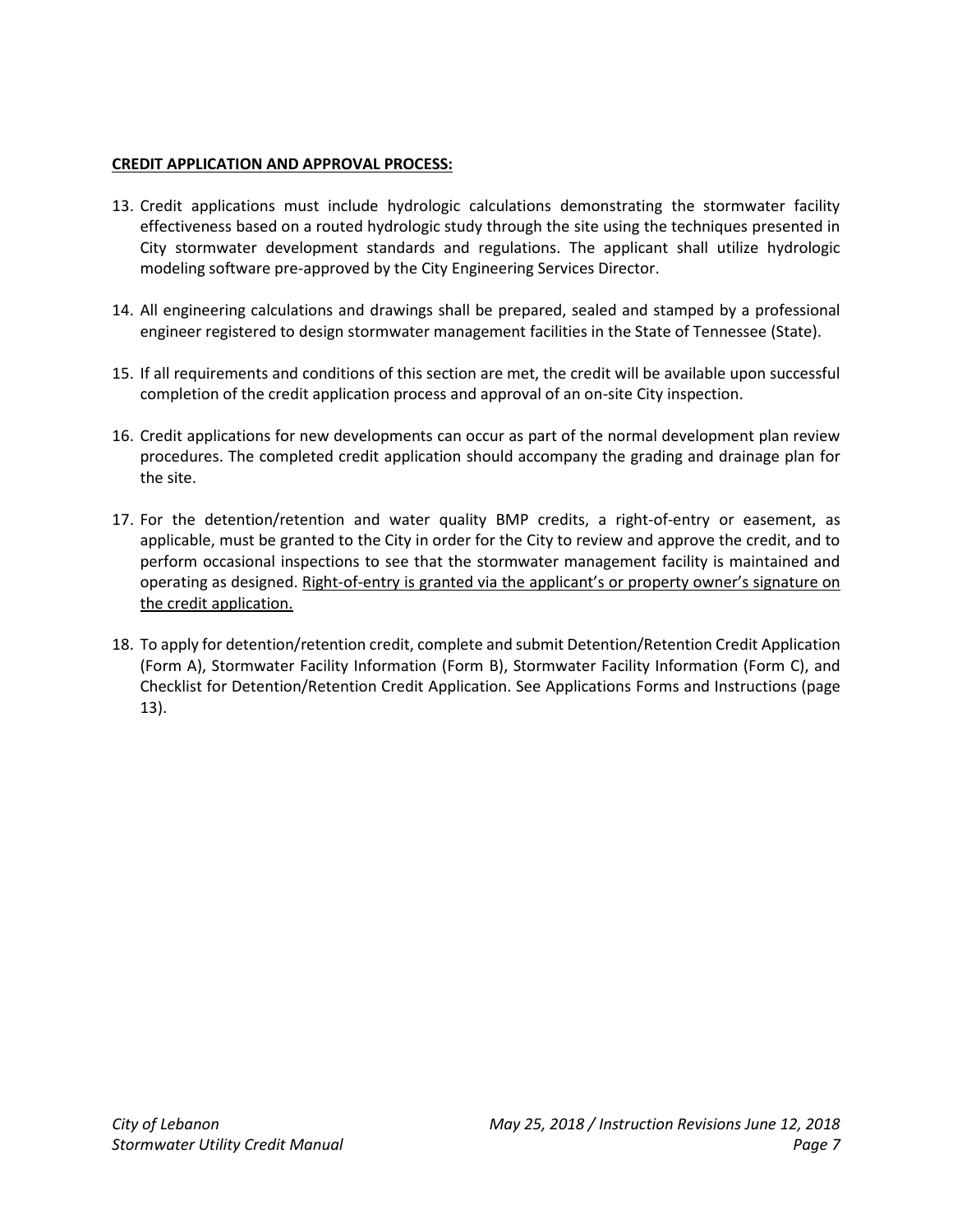### **CREDIT APPLICATION AND APPROVAL PROCESS:**

- 13. Credit applications must include hydrologic calculations demonstrating the stormwater facility effectiveness based on a routed hydrologic study through the site using the techniques presented in City stormwater development standards and regulations. The applicant shall utilize hydrologic modeling software pre-approved by the City Engineering Services Director.
- 14. All engineering calculations and drawings shall be prepared, sealed and stamped by a professional engineer registered to design stormwater management facilities in the State of Tennessee (State).
- 15. If all requirements and conditions of this section are met, the credit will be available upon successful completion of the credit application process and approval of an on-site City inspection.
- 16. Credit applications for new developments can occur as part of the normal development plan review procedures. The completed credit application should accompany the grading and drainage plan for the site.
- 17. For the detention/retention and water quality BMP credits, a right-of-entry or easement, as applicable, must be granted to the City in order for the City to review and approve the credit, and to perform occasional inspections to see that the stormwater management facility is maintained and operating as designed. Right-of-entry is granted via the applicant's or property owner's signature on the credit application.
- 18. To apply for detention/retention credit, complete and submit Detention/Retention Credit Application (Form A), Stormwater Facility Information (Form B), Stormwater Facility Information (Form C), and Checklist for Detention/Retention Credit Application. See Applications Forms and Instructions (page 13).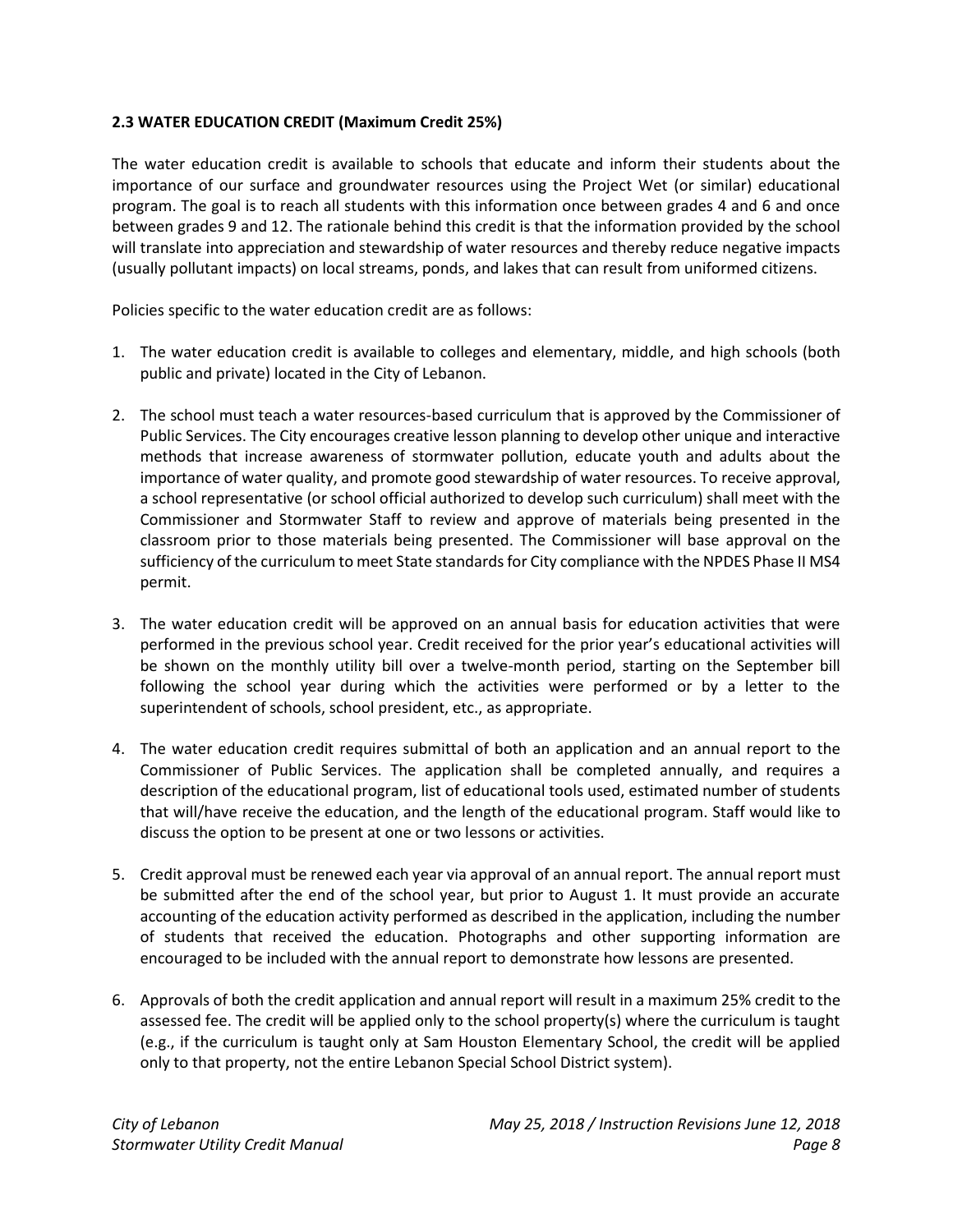### **2.3 WATER EDUCATION CREDIT (Maximum Credit 25%)**

The water education credit is available to schools that educate and inform their students about the importance of our surface and groundwater resources using the Project Wet (or similar) educational program. The goal is to reach all students with this information once between grades 4 and 6 and once between grades 9 and 12. The rationale behind this credit is that the information provided by the school will translate into appreciation and stewardship of water resources and thereby reduce negative impacts (usually pollutant impacts) on local streams, ponds, and lakes that can result from uniformed citizens.

Policies specific to the water education credit are as follows:

- 1. The water education credit is available to colleges and elementary, middle, and high schools (both public and private) located in the City of Lebanon.
- 2. The school must teach a water resources-based curriculum that is approved by the Commissioner of Public Services. The City encourages creative lesson planning to develop other unique and interactive methods that increase awareness of stormwater pollution, educate youth and adults about the importance of water quality, and promote good stewardship of water resources. To receive approval, a school representative (or school official authorized to develop such curriculum) shall meet with the Commissioner and Stormwater Staff to review and approve of materials being presented in the classroom prior to those materials being presented. The Commissioner will base approval on the sufficiency of the curriculum to meet State standards for City compliance with the NPDES Phase II MS4 permit.
- 3. The water education credit will be approved on an annual basis for education activities that were performed in the previous school year. Credit received for the prior year's educational activities will be shown on the monthly utility bill over a twelve-month period, starting on the September bill following the school year during which the activities were performed or by a letter to the superintendent of schools, school president, etc., as appropriate.
- 4. The water education credit requires submittal of both an application and an annual report to the Commissioner of Public Services. The application shall be completed annually, and requires a description of the educational program, list of educational tools used, estimated number of students that will/have receive the education, and the length of the educational program. Staff would like to discuss the option to be present at one or two lessons or activities.
- 5. Credit approval must be renewed each year via approval of an annual report. The annual report must be submitted after the end of the school year, but prior to August 1. It must provide an accurate accounting of the education activity performed as described in the application, including the number of students that received the education. Photographs and other supporting information are encouraged to be included with the annual report to demonstrate how lessons are presented.
- 6. Approvals of both the credit application and annual report will result in a maximum 25% credit to the assessed fee. The credit will be applied only to the school property(s) where the curriculum is taught (e.g., if the curriculum is taught only at Sam Houston Elementary School, the credit will be applied only to that property, not the entire Lebanon Special School District system).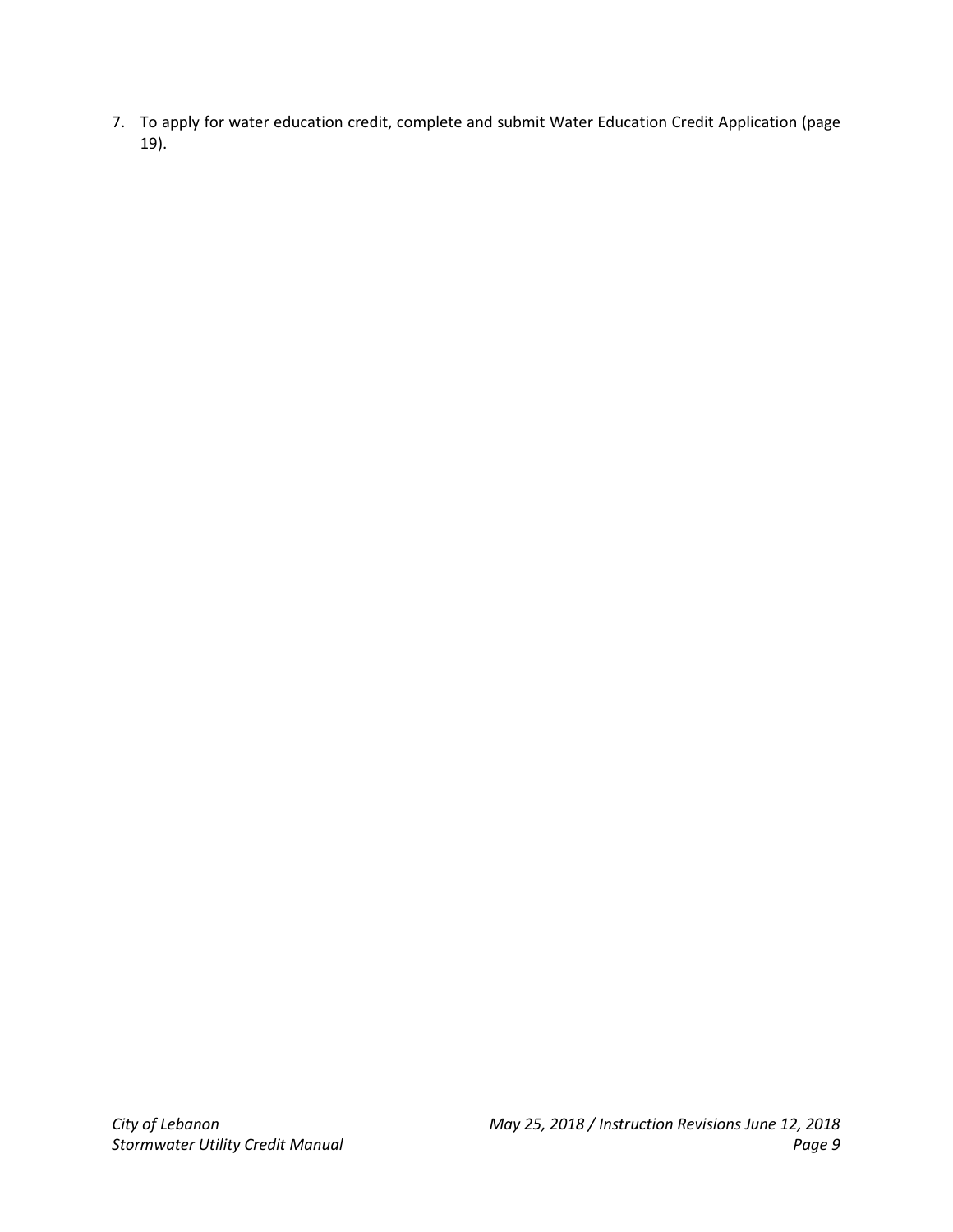7. To apply for water education credit, complete and submit Water Education Credit Application (page 19).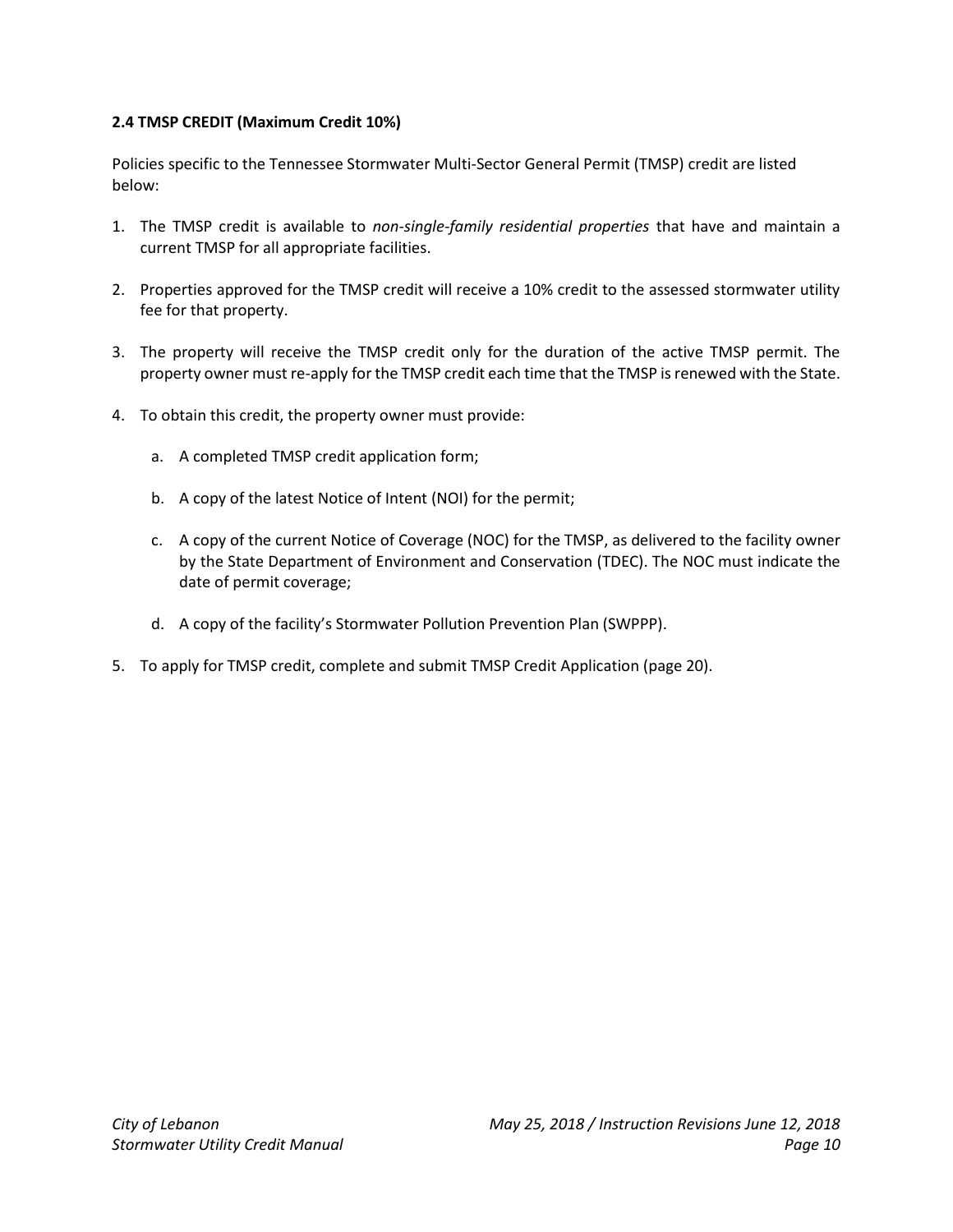### **2.4 TMSP CREDIT (Maximum Credit 10%)**

Policies specific to the Tennessee Stormwater Multi-Sector General Permit (TMSP) credit are listed below:

- 1. The TMSP credit is available to *non-single-family residential properties* that have and maintain a current TMSP for all appropriate facilities.
- 2. Properties approved for the TMSP credit will receive a 10% credit to the assessed stormwater utility fee for that property.
- 3. The property will receive the TMSP credit only for the duration of the active TMSP permit. The property owner must re-apply for the TMSP credit each time that the TMSP is renewed with the State.
- 4. To obtain this credit, the property owner must provide:
	- a. A completed TMSP credit application form;
	- b. A copy of the latest Notice of Intent (NOI) for the permit;
	- c. A copy of the current Notice of Coverage (NOC) for the TMSP, as delivered to the facility owner by the State Department of Environment and Conservation (TDEC). The NOC must indicate the date of permit coverage;
	- d. A copy of the facility's Stormwater Pollution Prevention Plan (SWPPP).
- 5. To apply for TMSP credit, complete and submit TMSP Credit Application (page 20).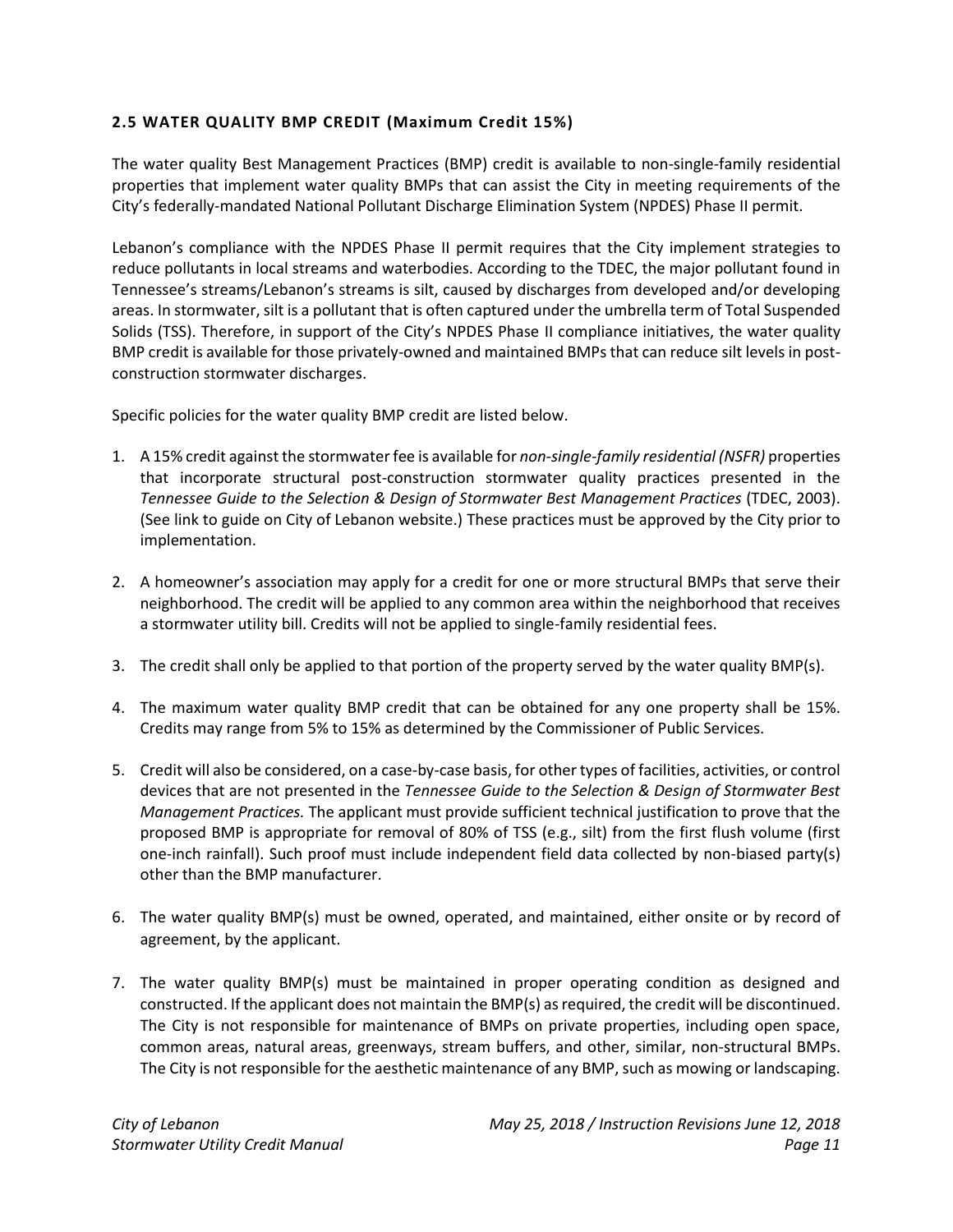### **2.5 WATER QUALITY BMP CREDIT (Maximum Credit 15%)**

The water quality Best Management Practices (BMP) credit is available to non-single-family residential properties that implement water quality BMPs that can assist the City in meeting requirements of the City's federally-mandated National Pollutant Discharge Elimination System (NPDES) Phase II permit.

Lebanon's compliance with the NPDES Phase II permit requires that the City implement strategies to reduce pollutants in local streams and waterbodies. According to the TDEC, the major pollutant found in Tennessee's streams/Lebanon's streams is silt, caused by discharges from developed and/or developing areas. In stormwater, silt is a pollutant that is often captured under the umbrella term of Total Suspended Solids (TSS). Therefore, in support of the City's NPDES Phase II compliance initiatives, the water quality BMP credit is available for those privately-owned and maintained BMPs that can reduce silt levels in postconstruction stormwater discharges.

Specific policies for the water quality BMP credit are listed below.

- 1. A 15% credit against the stormwater fee is available for *non-single-family residential (NSFR)* properties that incorporate structural post-construction stormwater quality practices presented in the *Tennessee Guide to the Selection & Design of Stormwater Best Management Practices* (TDEC, 2003). (See link to guide on City of Lebanon website.) These practices must be approved by the City prior to implementation.
- 2. A homeowner's association may apply for a credit for one or more structural BMPs that serve their neighborhood. The credit will be applied to any common area within the neighborhood that receives a stormwater utility bill. Credits will not be applied to single-family residential fees.
- 3. The credit shall only be applied to that portion of the property served by the water quality BMP(s).
- 4. The maximum water quality BMP credit that can be obtained for any one property shall be 15%. Credits may range from 5% to 15% as determined by the Commissioner of Public Services.
- 5. Credit will also be considered, on a case-by-case basis, for other types of facilities, activities, or control devices that are not presented in the *Tennessee Guide to the Selection & Design of Stormwater Best Management Practices.* The applicant must provide sufficient technical justification to prove that the proposed BMP is appropriate for removal of 80% of TSS (e.g., silt) from the first flush volume (first one-inch rainfall). Such proof must include independent field data collected by non-biased party(s) other than the BMP manufacturer.
- 6. The water quality BMP(s) must be owned, operated, and maintained, either onsite or by record of agreement, by the applicant.
- 7. The water quality BMP(s) must be maintained in proper operating condition as designed and constructed. If the applicant does not maintain the BMP(s) as required, the credit will be discontinued. The City is not responsible for maintenance of BMPs on private properties, including open space, common areas, natural areas, greenways, stream buffers, and other, similar, non-structural BMPs. The City is not responsible for the aesthetic maintenance of any BMP, such as mowing or landscaping.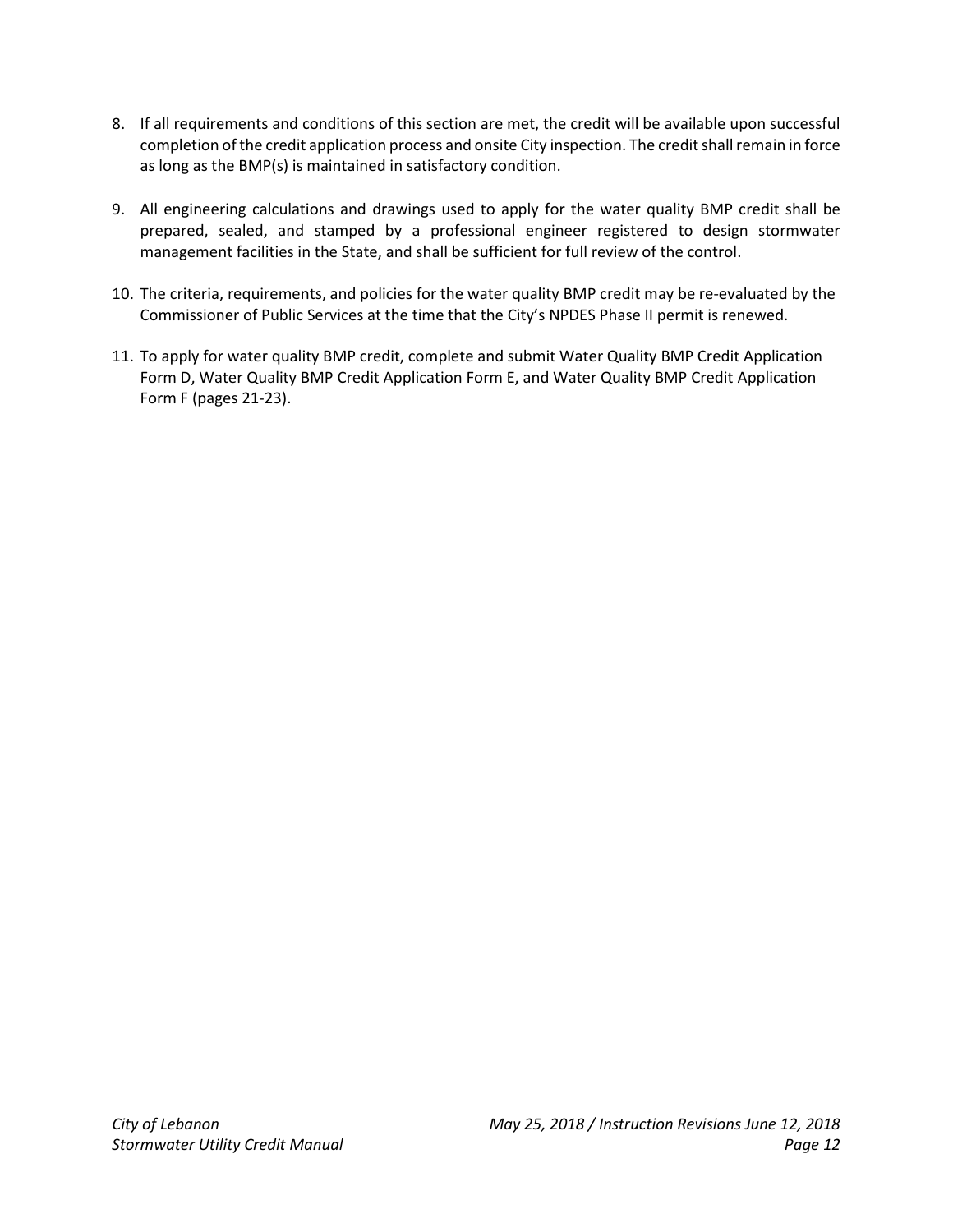- 8. If all requirements and conditions of this section are met, the credit will be available upon successful completion of the credit application process and onsite City inspection. The credit shall remain in force as long as the BMP(s) is maintained in satisfactory condition.
- 9. All engineering calculations and drawings used to apply for the water quality BMP credit shall be prepared, sealed, and stamped by a professional engineer registered to design stormwater management facilities in the State, and shall be sufficient for full review of the control.
- 10. The criteria, requirements, and policies for the water quality BMP credit may be re-evaluated by the Commissioner of Public Services at the time that the City's NPDES Phase II permit is renewed.
- 11. To apply for water quality BMP credit, complete and submit Water Quality BMP Credit Application Form D, Water Quality BMP Credit Application Form E, and Water Quality BMP Credit Application Form F (pages 21-23).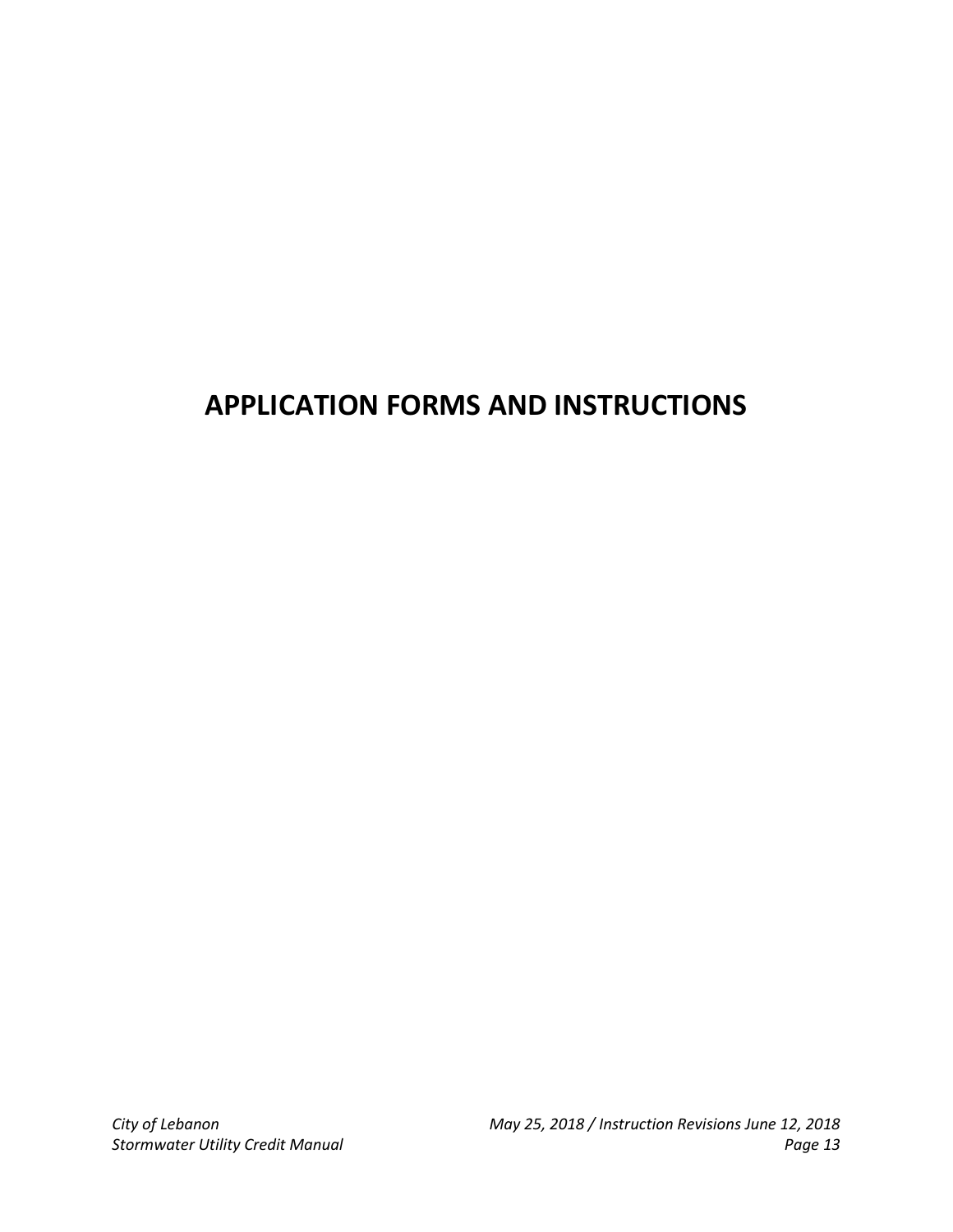# **APPLICATION FORMS AND INSTRUCTIONS**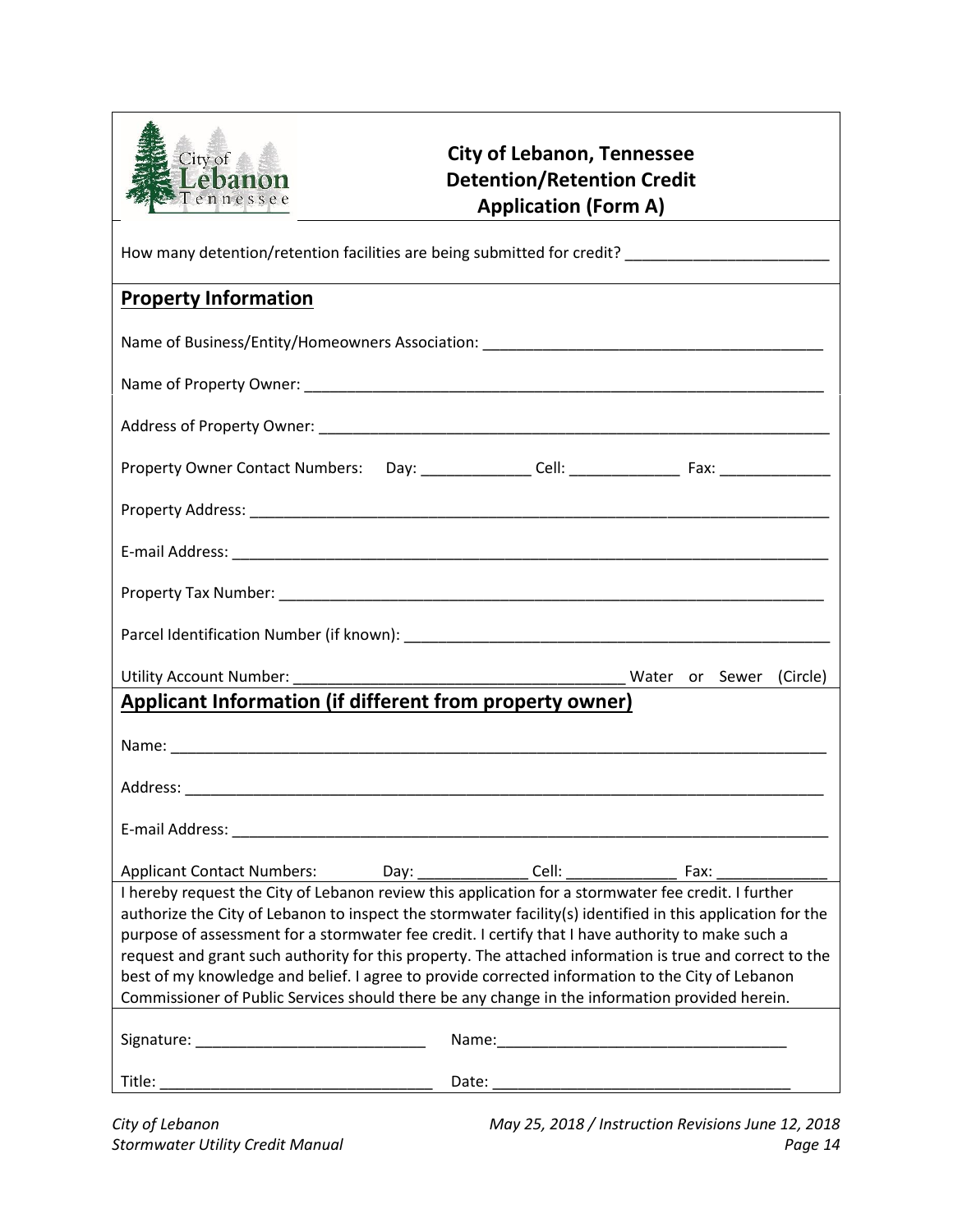

# **City of Lebanon, Tennessee Detention/Retention Credit Application (Form A)**

| How many detention/retention facilities are being submitted for credit? ___________________________                                                                                                                                                                                                                                                                                                                                                                                                                                                                                                                                                                                                                                             |  |  |  |
|-------------------------------------------------------------------------------------------------------------------------------------------------------------------------------------------------------------------------------------------------------------------------------------------------------------------------------------------------------------------------------------------------------------------------------------------------------------------------------------------------------------------------------------------------------------------------------------------------------------------------------------------------------------------------------------------------------------------------------------------------|--|--|--|
| <b>Property Information</b>                                                                                                                                                                                                                                                                                                                                                                                                                                                                                                                                                                                                                                                                                                                     |  |  |  |
|                                                                                                                                                                                                                                                                                                                                                                                                                                                                                                                                                                                                                                                                                                                                                 |  |  |  |
|                                                                                                                                                                                                                                                                                                                                                                                                                                                                                                                                                                                                                                                                                                                                                 |  |  |  |
|                                                                                                                                                                                                                                                                                                                                                                                                                                                                                                                                                                                                                                                                                                                                                 |  |  |  |
|                                                                                                                                                                                                                                                                                                                                                                                                                                                                                                                                                                                                                                                                                                                                                 |  |  |  |
|                                                                                                                                                                                                                                                                                                                                                                                                                                                                                                                                                                                                                                                                                                                                                 |  |  |  |
|                                                                                                                                                                                                                                                                                                                                                                                                                                                                                                                                                                                                                                                                                                                                                 |  |  |  |
|                                                                                                                                                                                                                                                                                                                                                                                                                                                                                                                                                                                                                                                                                                                                                 |  |  |  |
|                                                                                                                                                                                                                                                                                                                                                                                                                                                                                                                                                                                                                                                                                                                                                 |  |  |  |
|                                                                                                                                                                                                                                                                                                                                                                                                                                                                                                                                                                                                                                                                                                                                                 |  |  |  |
|                                                                                                                                                                                                                                                                                                                                                                                                                                                                                                                                                                                                                                                                                                                                                 |  |  |  |
| Applicant Information (if different from property owner)                                                                                                                                                                                                                                                                                                                                                                                                                                                                                                                                                                                                                                                                                        |  |  |  |
|                                                                                                                                                                                                                                                                                                                                                                                                                                                                                                                                                                                                                                                                                                                                                 |  |  |  |
|                                                                                                                                                                                                                                                                                                                                                                                                                                                                                                                                                                                                                                                                                                                                                 |  |  |  |
|                                                                                                                                                                                                                                                                                                                                                                                                                                                                                                                                                                                                                                                                                                                                                 |  |  |  |
|                                                                                                                                                                                                                                                                                                                                                                                                                                                                                                                                                                                                                                                                                                                                                 |  |  |  |
| Applicant Contact Numbers: Day: ________________ Cell: __________________________ Fax: _____________<br>I hereby request the City of Lebanon review this application for a stormwater fee credit. I further<br>authorize the City of Lebanon to inspect the stormwater facility(s) identified in this application for the<br>purpose of assessment for a stormwater fee credit. I certify that I have authority to make such a<br>request and grant such authority for this property. The attached information is true and correct to the<br>best of my knowledge and belief. I agree to provide corrected information to the City of Lebanon<br>Commissioner of Public Services should there be any change in the information provided herein. |  |  |  |
|                                                                                                                                                                                                                                                                                                                                                                                                                                                                                                                                                                                                                                                                                                                                                 |  |  |  |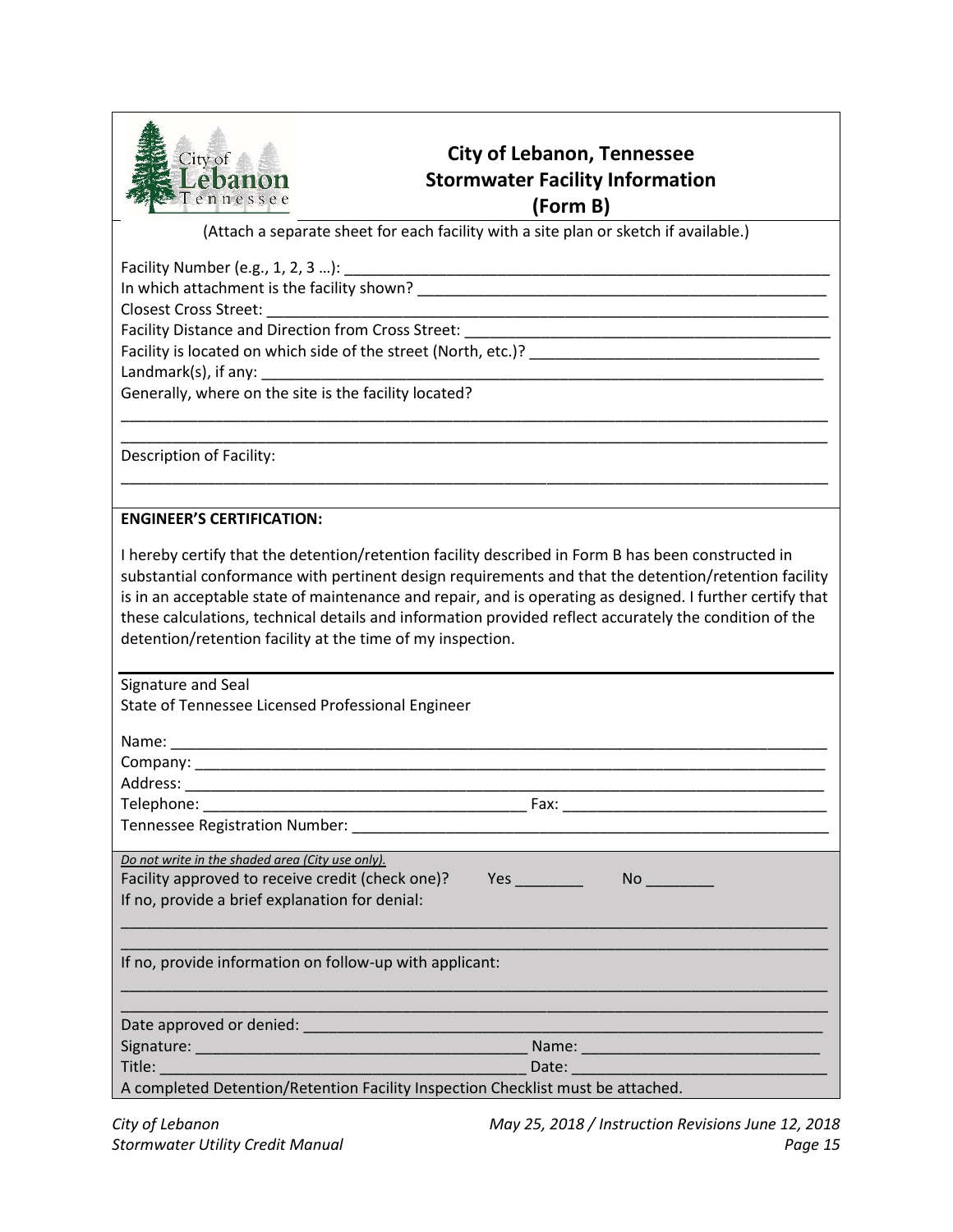

# **City of Lebanon, Tennessee Stormwater Facility Information (Form B)**

(Attach a separate sheet for each facility with a site plan or sketch if available.)

Facility Number (e.g., 1, 2, 3 ...):  $\Box$ 

In which attachment is the facility shown? \_\_\_\_\_\_\_\_\_\_\_\_\_\_\_\_\_\_\_\_\_\_\_\_\_\_\_\_\_\_\_\_\_\_\_\_\_\_\_\_\_\_\_\_\_\_\_\_

Closest Cross Street:

Facility Distance and Direction from Cross Street:

Facility is located on which side of the street (North, etc.)?

Landmark $(s)$ , if any:

Generally, where on the site is the facility located?

Description of Facility:

### **ENGINEER'S CERTIFICATION:**

I hereby certify that the detention/retention facility described in Form B has been constructed in substantial conformance with pertinent design requirements and that the detention/retention facility is in an acceptable state of maintenance and repair, and is operating as designed. I further certify that these calculations, technical details and information provided reflect accurately the condition of the detention/retention facility at the time of my inspection.

\_\_\_\_\_\_\_\_\_\_\_\_\_\_\_\_\_\_\_\_\_\_\_\_\_\_\_\_\_\_\_\_\_\_\_\_\_\_\_\_\_\_\_\_\_\_\_\_\_\_\_\_\_\_\_\_\_\_\_\_\_\_\_\_\_\_\_\_\_\_\_\_\_\_\_\_\_\_\_\_\_\_\_ \_\_\_\_\_\_\_\_\_\_\_\_\_\_\_\_\_\_\_\_\_\_\_\_\_\_\_\_\_\_\_\_\_\_\_\_\_\_\_\_\_\_\_\_\_\_\_\_\_\_\_\_\_\_\_\_\_\_\_\_\_\_\_\_\_\_\_\_\_\_\_\_\_\_\_\_\_\_\_\_\_\_\_

\_\_\_\_\_\_\_\_\_\_\_\_\_\_\_\_\_\_\_\_\_\_\_\_\_\_\_\_\_\_\_\_\_\_\_\_\_\_\_\_\_\_\_\_\_\_\_\_\_\_\_\_\_\_\_\_\_\_\_\_\_\_\_\_\_\_\_\_\_\_\_\_\_\_\_\_\_\_\_\_\_\_\_

| Signature and Seal                                                              |  |
|---------------------------------------------------------------------------------|--|
| State of Tennessee Licensed Professional Engineer                               |  |
|                                                                                 |  |
|                                                                                 |  |
|                                                                                 |  |
|                                                                                 |  |
|                                                                                 |  |
|                                                                                 |  |
|                                                                                 |  |
| Do not write in the shaded area (City use only).                                |  |
| Facility approved to receive credit (check one)? Yes                            |  |
| If no, provide a brief explanation for denial:                                  |  |
|                                                                                 |  |
|                                                                                 |  |
| If no, provide information on follow-up with applicant:                         |  |
|                                                                                 |  |
|                                                                                 |  |
|                                                                                 |  |
|                                                                                 |  |
|                                                                                 |  |
| A completed Detention/Retention Facility Inspection Checklist must be attached. |  |

*City of Lebanon May 25, 2018 / Instruction Revisions June 12, 2018 Stormwater Utility Credit Manual Page 15*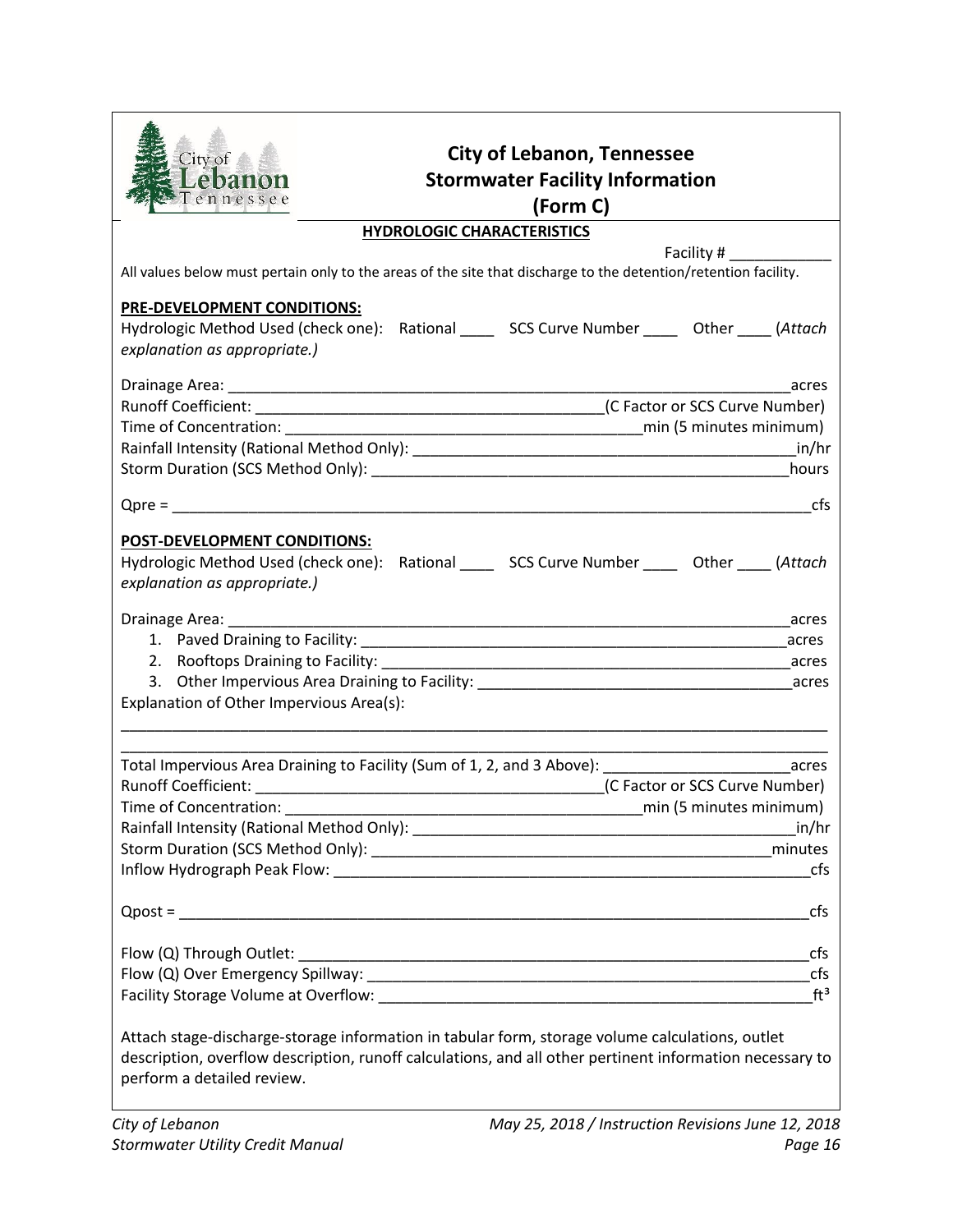| City of<br>Lebanon<br>Tennessee                                                                                                                                                                                                           | <b>City of Lebanon, Tennessee</b><br><b>Stormwater Facility Information</b><br>(Form C) |                                |
|-------------------------------------------------------------------------------------------------------------------------------------------------------------------------------------------------------------------------------------------|-----------------------------------------------------------------------------------------|--------------------------------|
|                                                                                                                                                                                                                                           | <b>HYDROLOGIC CHARACTERISTICS</b>                                                       |                                |
|                                                                                                                                                                                                                                           |                                                                                         | Facility #                     |
| All values below must pertain only to the areas of the site that discharge to the detention/retention facility.                                                                                                                           |                                                                                         |                                |
| <b>PRE-DEVELOPMENT CONDITIONS:</b>                                                                                                                                                                                                        |                                                                                         |                                |
| Hydrologic Method Used (check one): Rational _____ SCS Curve Number _____ Other ____ (Attach                                                                                                                                              |                                                                                         |                                |
| explanation as appropriate.)                                                                                                                                                                                                              |                                                                                         |                                |
|                                                                                                                                                                                                                                           |                                                                                         |                                |
|                                                                                                                                                                                                                                           |                                                                                         | acres                          |
|                                                                                                                                                                                                                                           |                                                                                         |                                |
|                                                                                                                                                                                                                                           |                                                                                         |                                |
|                                                                                                                                                                                                                                           |                                                                                         |                                |
|                                                                                                                                                                                                                                           |                                                                                         | hours                          |
|                                                                                                                                                                                                                                           |                                                                                         |                                |
|                                                                                                                                                                                                                                           |                                                                                         | cfs                            |
| <b>POST-DEVELOPMENT CONDITIONS:</b><br>Hydrologic Method Used (check one): Rational _____ SCS Curve Number _____ Other ____ (Attach<br>explanation as appropriate.)                                                                       |                                                                                         |                                |
|                                                                                                                                                                                                                                           |                                                                                         | acres                          |
|                                                                                                                                                                                                                                           |                                                                                         |                                |
|                                                                                                                                                                                                                                           |                                                                                         |                                |
|                                                                                                                                                                                                                                           |                                                                                         |                                |
| Explanation of Other Impervious Area(s):                                                                                                                                                                                                  |                                                                                         |                                |
|                                                                                                                                                                                                                                           |                                                                                         |                                |
|                                                                                                                                                                                                                                           |                                                                                         |                                |
| Total Impervious Area Draining to Facility (Sum of 1, 2, and 3 Above): __________________________acres                                                                                                                                    |                                                                                         |                                |
|                                                                                                                                                                                                                                           |                                                                                         | (C Factor or SCS Curve Number) |
| Time of Concentration:                                                                                                                                                                                                                    |                                                                                         | min (5 minutes minimum)        |
|                                                                                                                                                                                                                                           |                                                                                         |                                |
|                                                                                                                                                                                                                                           |                                                                                         |                                |
|                                                                                                                                                                                                                                           |                                                                                         | cfs                            |
|                                                                                                                                                                                                                                           |                                                                                         | cfs                            |
|                                                                                                                                                                                                                                           |                                                                                         | cfs                            |
|                                                                                                                                                                                                                                           |                                                                                         |                                |
|                                                                                                                                                                                                                                           |                                                                                         | $ft^3$                         |
|                                                                                                                                                                                                                                           |                                                                                         |                                |
| Attach stage-discharge-storage information in tabular form, storage volume calculations, outlet<br>description, overflow description, runoff calculations, and all other pertinent information necessary to<br>perform a detailed review. |                                                                                         |                                |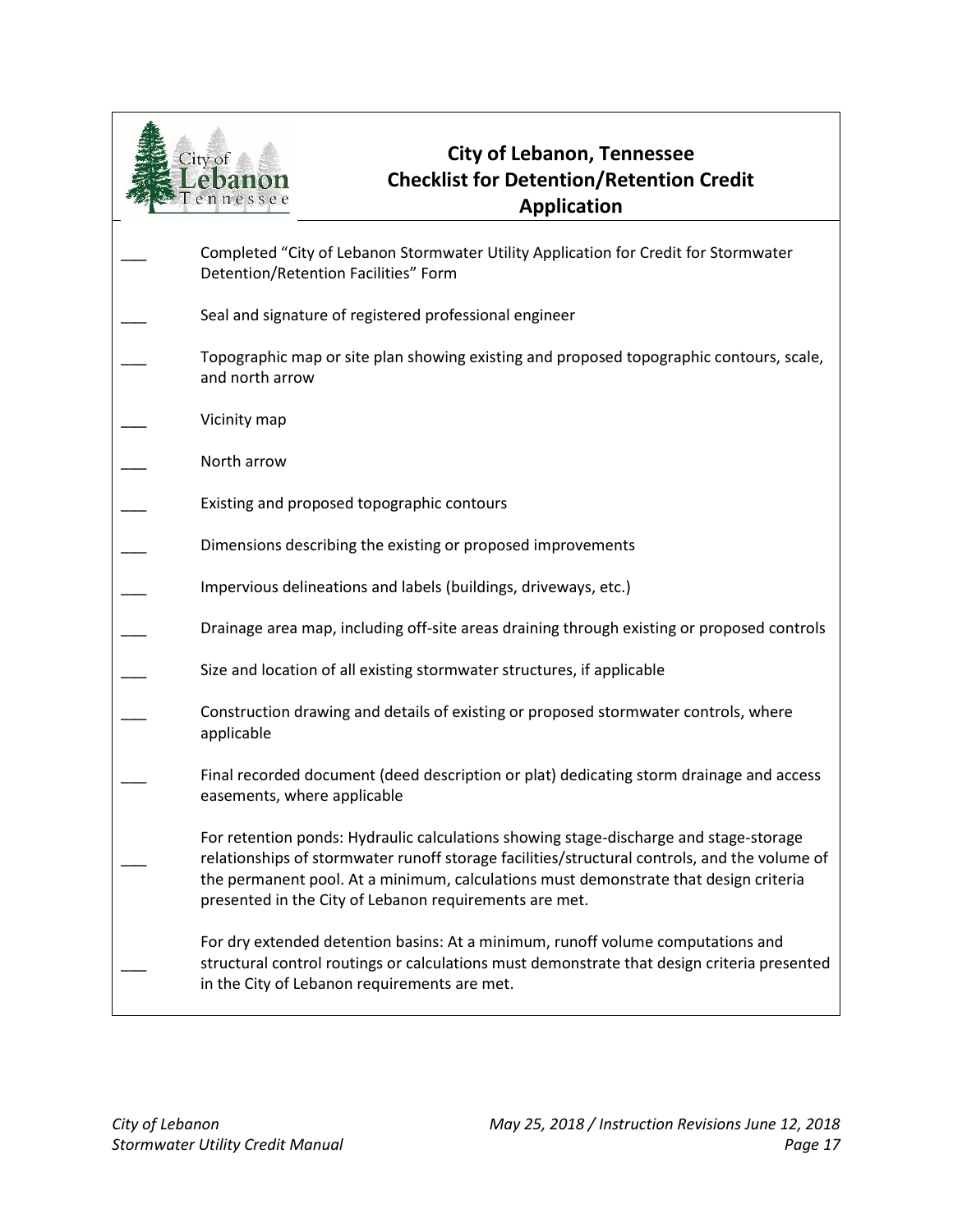

# **City of Lebanon, Tennessee Checklist for Detention/Retention Credit Application**

Completed "City of Lebanon Stormwater Utility Application for Credit for Stormwater Detention/Retention Facilities" Form Seal and signature of registered professional engineer Topographic map or site plan showing existing and proposed topographic contours, scale, and north arrow Vicinity map North arrow Existing and proposed topographic contours Dimensions describing the existing or proposed improvements Impervious delineations and labels (buildings, driveways, etc.) \_\_\_ Drainage area map, including off-site areas draining through existing or proposed controls Size and location of all existing stormwater structures, if applicable Construction drawing and details of existing or proposed stormwater controls, where applicable Final recorded document (deed description or plat) dedicating storm drainage and access easements, where applicable  $\overline{\phantom{a}}$ For retention ponds: Hydraulic calculations showing stage-discharge and stage-storage relationships of stormwater runoff storage facilities/structural controls, and the volume of the permanent pool. At a minimum, calculations must demonstrate that design criteria presented in the City of Lebanon requirements are met.  $\overline{\phantom{a}}$ For dry extended detention basins: At a minimum, runoff volume computations and structural control routings or calculations must demonstrate that design criteria presented in the City of Lebanon requirements are met.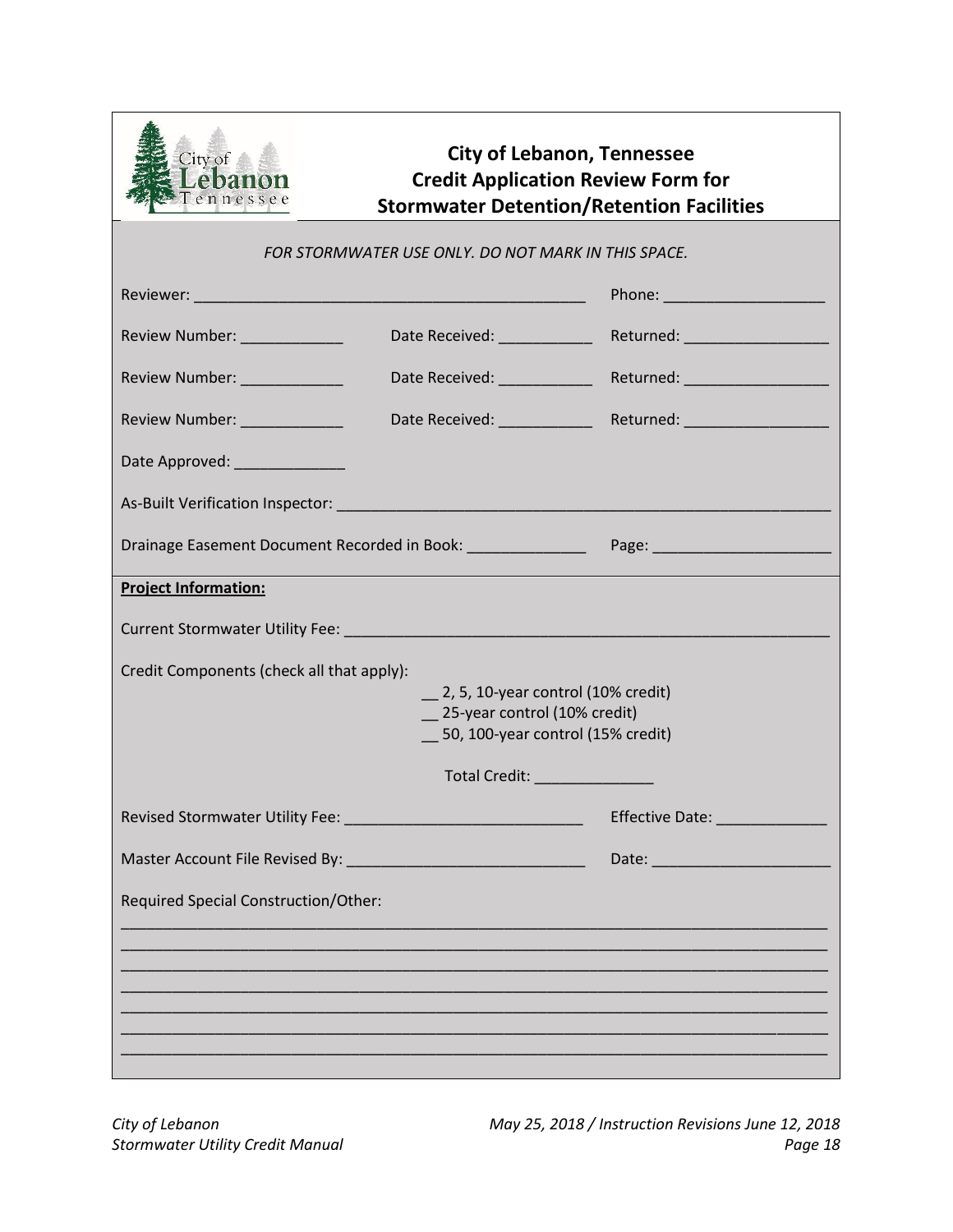

# **City of Lebanon, Tennessee Credit Application Review Form for Stormwater Detention/Retention Facilities**

#### *FOR STORMWATER USE ONLY. DO NOT MARK IN THIS SPACE.*

| Review Number: ______________                                                                                                                                                                                                  | Date Received: ____________                        | Returned: ____________________ |  |
|--------------------------------------------------------------------------------------------------------------------------------------------------------------------------------------------------------------------------------|----------------------------------------------------|--------------------------------|--|
| Review Number: 2008                                                                                                                                                                                                            | Date Received: National Property of the Contractor | Returned: ____________________ |  |
| Review Number: \\\end{\math{\math{\math{\math{\math{\math{\math{\math{\math{\math{\math{\math{\math{\math{\math{\math{\math{\math{\math{\math{\math{\math{\math{\math{\math{\math{\math{\math{\math{\math{\math{\math{\math{\m | Date Received: ____________                        | Returned: ____________________ |  |
| Date Approved: National Approved:                                                                                                                                                                                              |                                                    |                                |  |
|                                                                                                                                                                                                                                |                                                    |                                |  |
|                                                                                                                                                                                                                                |                                                    |                                |  |
| <b>Project Information:</b>                                                                                                                                                                                                    |                                                    |                                |  |
|                                                                                                                                                                                                                                |                                                    |                                |  |
| Credit Components (check all that apply):<br>$\_\_$ 2, 5, 10-year control (10% credit)<br>25-year control (10% credit)<br>50, 100-year control (15% credit)                                                                    |                                                    |                                |  |
|                                                                                                                                                                                                                                | Total Credit: <u>William Communication</u>         |                                |  |
|                                                                                                                                                                                                                                |                                                    | Effective Date: ______________ |  |
|                                                                                                                                                                                                                                |                                                    |                                |  |
| Required Special Construction/Other:                                                                                                                                                                                           |                                                    |                                |  |
|                                                                                                                                                                                                                                |                                                    |                                |  |
|                                                                                                                                                                                                                                |                                                    |                                |  |
|                                                                                                                                                                                                                                |                                                    |                                |  |
|                                                                                                                                                                                                                                |                                                    |                                |  |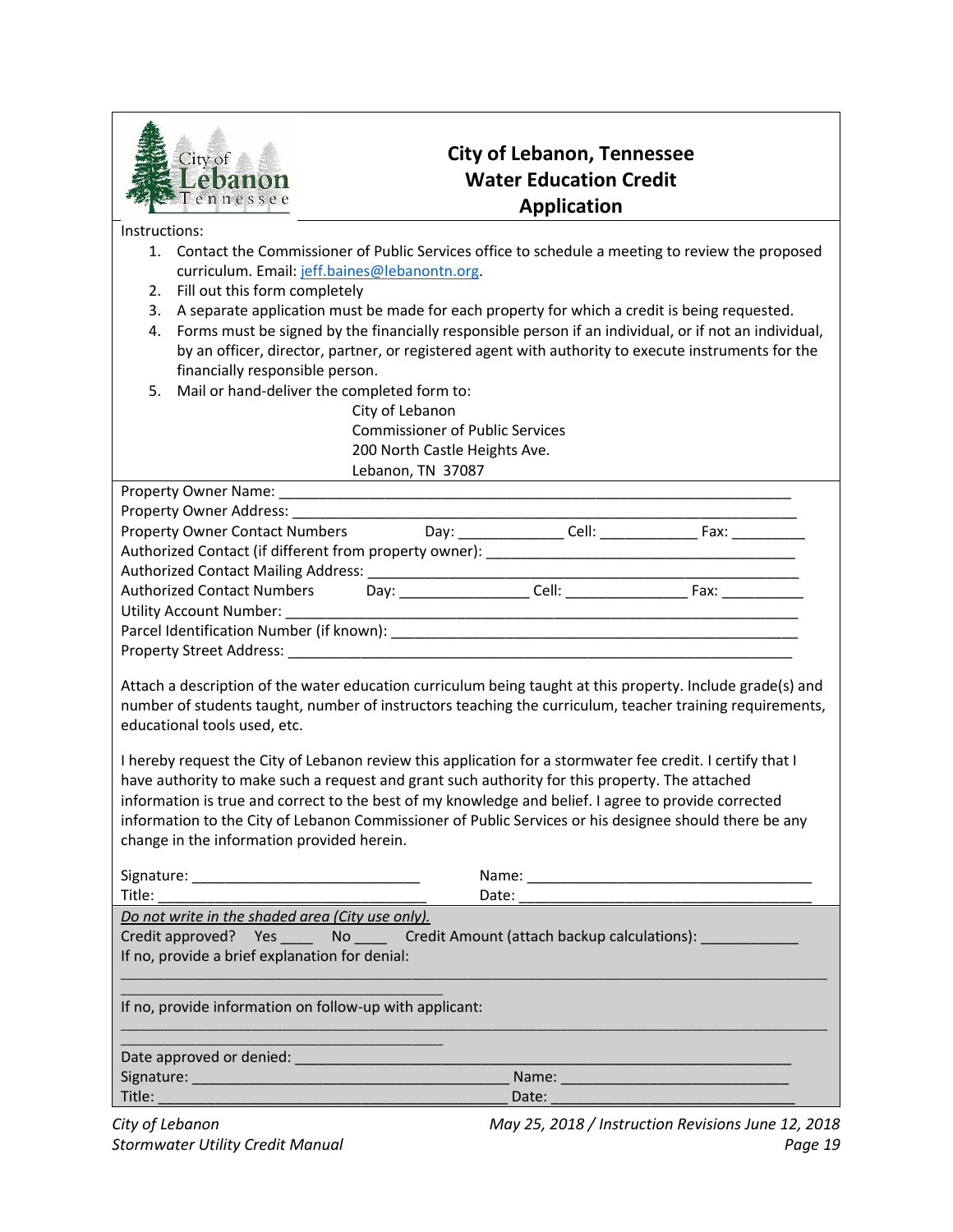

# **City of Lebanon, Tennessee Water Education Credit Application**

Instructions:

- 1. Contact the Commissioner of Public Services office to schedule a meeting to review the proposed curriculum. Email: [jeff.baines@lebanontn.org.](mailto:jeff.baines@lebanontn.org)
- 2. Fill out this form completely
- 3. A separate application must be made for each property for which a credit is being requested.
- 4. Forms must be signed by the financially responsible person if an individual, or if not an individual, by an officer, director, partner, or registered agent with authority to execute instruments for the financially responsible person.
- 5. Mail or hand-deliver the completed form to:

City of Lebanon Commissioner of Public Services 200 North Castle Heights Ave. Lebanon, TN 37087

| Property Owner Contact Numbers Day: _______________Cell: ________________________ Fax: _____________                                                                                                                                                                                                                                                                                                                           |  |  |  |  |
|--------------------------------------------------------------------------------------------------------------------------------------------------------------------------------------------------------------------------------------------------------------------------------------------------------------------------------------------------------------------------------------------------------------------------------|--|--|--|--|
|                                                                                                                                                                                                                                                                                                                                                                                                                                |  |  |  |  |
|                                                                                                                                                                                                                                                                                                                                                                                                                                |  |  |  |  |
|                                                                                                                                                                                                                                                                                                                                                                                                                                |  |  |  |  |
|                                                                                                                                                                                                                                                                                                                                                                                                                                |  |  |  |  |
|                                                                                                                                                                                                                                                                                                                                                                                                                                |  |  |  |  |
|                                                                                                                                                                                                                                                                                                                                                                                                                                |  |  |  |  |
| Attach a description of the water education curriculum being taught at this property. Include grade(s) and<br>number of students taught, number of instructors teaching the curriculum, teacher training requirements,<br>educational tools used, etc.                                                                                                                                                                         |  |  |  |  |
| I hereby request the City of Lebanon review this application for a stormwater fee credit. I certify that I<br>have authority to make such a request and grant such authority for this property. The attached<br>information is true and correct to the best of my knowledge and belief. I agree to provide corrected<br>information to the City of Lebanon Commissioner of Public Services or his designee should there be any |  |  |  |  |

change in the information provided herein.

| Title: Title:                                                       | Date: |
|---------------------------------------------------------------------|-------|
| Do not write in the shaded area (City use only).                    |       |
| Credit approved? Yes Mo Credit Amount (attach backup calculations): |       |
| If no, provide a brief explanation for denial:                      |       |
|                                                                     |       |
| If no, provide information on follow-up with applicant:             |       |
| Date approved or denied:                                            |       |
| Signature: Management of the Signature:                             | Name: |
| Title:                                                              | Date: |
|                                                                     |       |

*City of Lebanon May 25, 2018 / Instruction Revisions June 12, 2018 Stormwater Utility Credit Manual Page 19*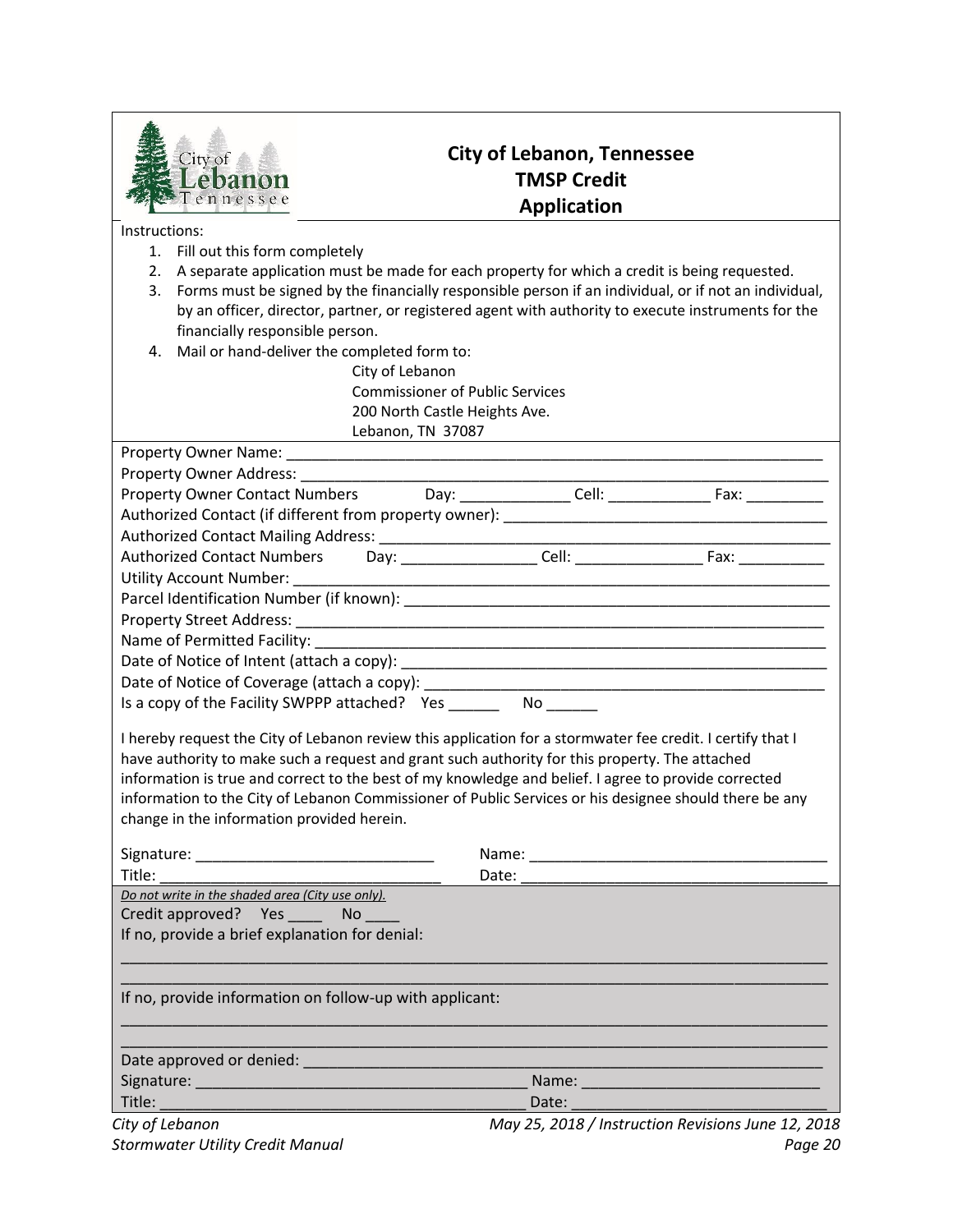

## **City of Lebanon, Tennessee TMSP Credit Application**

Instructions:

- 1. Fill out this form completely
- 2. A separate application must be made for each property for which a credit is being requested.
- 3. Forms must be signed by the financially responsible person if an individual, or if not an individual, by an officer, director, partner, or registered agent with authority to execute instruments for the financially responsible person.
- 4. Mail or hand-deliver the completed form to:
	- City of Lebanon Commissioner of Public Services 200 North Castle Heights Ave. Lebanon, TN 37087

| Property Owner Name:                                   |      |       |      |  |
|--------------------------------------------------------|------|-------|------|--|
| Property Owner Address:                                |      |       |      |  |
| <b>Property Owner Contact Numbers</b>                  | Dav: | Cell: | Fax: |  |
| Authorized Contact (if different from property owner): |      |       |      |  |
| Authorized Contact Mailing Address:                    |      |       |      |  |

| <b>Authorized Contact Numbers</b>        | Dav: | Cell: | Fax: |  |
|------------------------------------------|------|-------|------|--|
| Utility Account Number:                  |      |       |      |  |
| Parcel Identification Number (if known): |      |       |      |  |
| <b>Property Street Address:</b>          |      |       |      |  |
| Name of Dermitted Eacility               |      |       |      |  |

| INGHITE OF FELLIBRIC FACILITY.                |    |
|-----------------------------------------------|----|
| Date of Notice of Intent (attach a copy):     |    |
| Date of Notice of Coverage (attach a copy):   |    |
| Is a copy of the Facility SWPPP attached? Yes | NΟ |

I hereby request the City of Lebanon review this application for a stormwater fee credit. I certify that I have authority to make such a request and grant such authority for this property. The attached information is true and correct to the best of my knowledge and belief. I agree to provide corrected information to the City of Lebanon Commissioner of Public Services or his designee should there be any change in the information provided herein.

|                                                                                                                                                                                                                                     | Name:                                                                                                                                                                                                                          |
|-------------------------------------------------------------------------------------------------------------------------------------------------------------------------------------------------------------------------------------|--------------------------------------------------------------------------------------------------------------------------------------------------------------------------------------------------------------------------------|
| <b>Title:</b> The contract of the contract of the contract of the contract of the contract of the contract of the contract of the contract of the contract of the contract of the contract of the contract of the contract of the c | Date: the control of the control of the control of the control of the control of the control of the control of the control of the control of the control of the control of the control of the control of the control of the co |
| Do not write in the shaded area (City use only).                                                                                                                                                                                    |                                                                                                                                                                                                                                |
| Credit approved? Yes ______ No _____                                                                                                                                                                                                |                                                                                                                                                                                                                                |
| If no, provide a brief explanation for denial:                                                                                                                                                                                      |                                                                                                                                                                                                                                |
|                                                                                                                                                                                                                                     |                                                                                                                                                                                                                                |
| If no, provide information on follow-up with applicant:                                                                                                                                                                             |                                                                                                                                                                                                                                |
|                                                                                                                                                                                                                                     |                                                                                                                                                                                                                                |
| Date approved or denied: National Contract of the Contract of the Contract of the Contract of the Contract of                                                                                                                       |                                                                                                                                                                                                                                |
|                                                                                                                                                                                                                                     | Name: Name:                                                                                                                                                                                                                    |
| Title: 2008 - 2008 - 2010 - 2010 - 2011 - 2012 - 2012 - 2012 - 2012 - 2012 - 2012 - 2012 - 2013 - 2014 - 2012                                                                                                                       | Date:                                                                                                                                                                                                                          |
|                                                                                                                                                                                                                                     | $M_{\text{max}}$ 35, 3040 $M_{\text{max}}$ is the projection bound 43, 304                                                                                                                                                     |

*City of Lebanon May 25, 2018 / Instruction Revisions June 12, 2018 Stormwater Utility Credit Manual Page 20*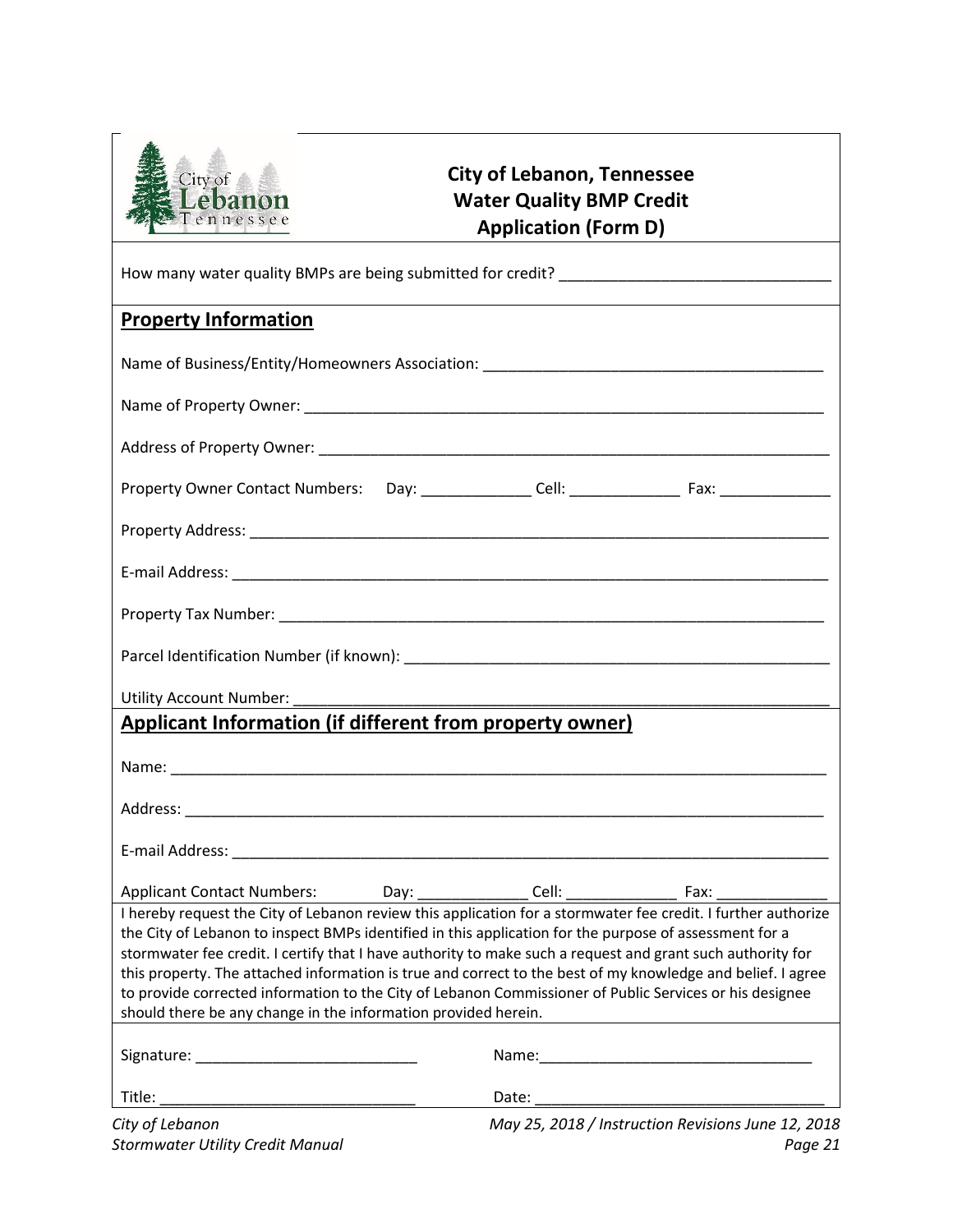

# **City of Lebanon, Tennessee Water Quality BMP Credit Application (Form D)**

| <b>Property Information</b>                                                                                                                                                                                            | <u> 1989 - Johann Stoff, deutscher Stoffen und der Stoffen und der Stoffen und der Stoffen und der Stoffen und de</u> |  |
|------------------------------------------------------------------------------------------------------------------------------------------------------------------------------------------------------------------------|-----------------------------------------------------------------------------------------------------------------------|--|
| Name of Business/Entity/Homeowners Association: _________________________________                                                                                                                                      |                                                                                                                       |  |
|                                                                                                                                                                                                                        |                                                                                                                       |  |
|                                                                                                                                                                                                                        |                                                                                                                       |  |
|                                                                                                                                                                                                                        |                                                                                                                       |  |
|                                                                                                                                                                                                                        |                                                                                                                       |  |
|                                                                                                                                                                                                                        |                                                                                                                       |  |
|                                                                                                                                                                                                                        |                                                                                                                       |  |
|                                                                                                                                                                                                                        |                                                                                                                       |  |
|                                                                                                                                                                                                                        |                                                                                                                       |  |
| Applicant Information (if different from property owner)                                                                                                                                                               |                                                                                                                       |  |
|                                                                                                                                                                                                                        |                                                                                                                       |  |
|                                                                                                                                                                                                                        |                                                                                                                       |  |
|                                                                                                                                                                                                                        |                                                                                                                       |  |
|                                                                                                                                                                                                                        |                                                                                                                       |  |
| I hereby request the City of Lebanon review this application for a stormwater fee credit. I further authorize                                                                                                          |                                                                                                                       |  |
| the City of Lebanon to inspect BMPs identified in this application for the purpose of assessment for a                                                                                                                 |                                                                                                                       |  |
| stormwater fee credit. I certify that I have authority to make such a request and grant such authority for                                                                                                             |                                                                                                                       |  |
| this property. The attached information is true and correct to the best of my knowledge and belief. I agree<br>to provide corrected information to the City of Lebanon Commissioner of Public Services or his designee |                                                                                                                       |  |
| should there be any change in the information provided herein.                                                                                                                                                         |                                                                                                                       |  |
|                                                                                                                                                                                                                        |                                                                                                                       |  |
| Title:                                                                                                                                                                                                                 |                                                                                                                       |  |
| City of Lebanon                                                                                                                                                                                                        | May 25, 2018 / Instruction Revisions June 12, 2018                                                                    |  |

*Stormwater Utility Credit Manual Page 21*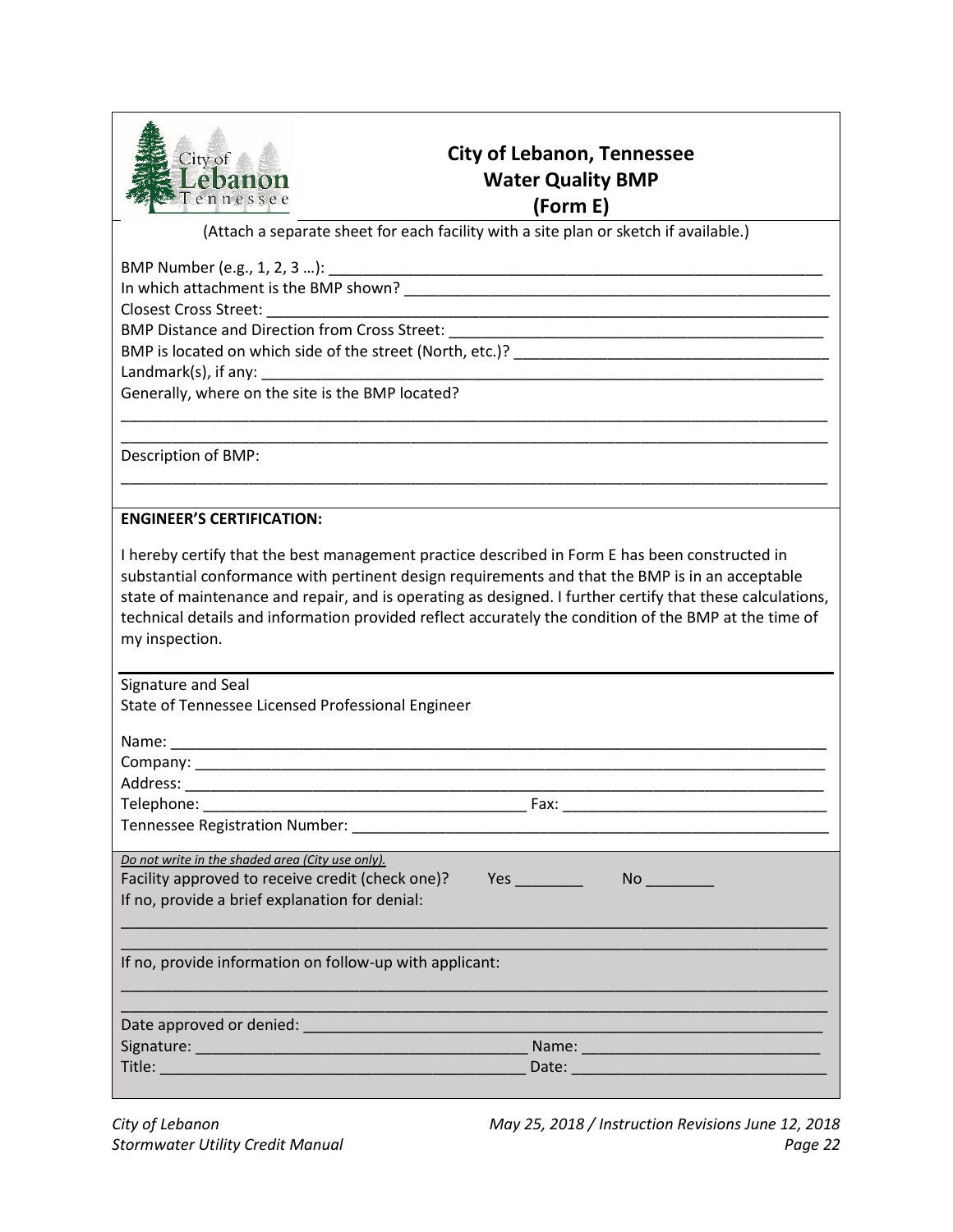

# **City of Lebanon, Tennessee Water Quality BMP (Form E)**

(Attach a separate sheet for each facility with a site plan or sketch if available.)

BMP Number (e.g., 1, 2, 3 …): \_\_\_\_\_\_\_\_\_\_\_\_\_\_\_\_\_\_\_\_\_\_\_\_\_\_\_\_\_\_\_\_\_\_\_\_\_\_\_\_\_\_\_\_\_\_\_\_\_\_\_\_\_\_\_\_\_\_

In which attachment is the BMP shown? \_\_\_\_\_\_\_\_\_\_\_\_\_\_\_\_\_\_\_\_\_\_\_\_\_\_\_\_\_\_\_\_\_\_\_\_\_\_\_\_\_\_\_\_\_\_\_\_\_\_

Closest Cross Street:

BMP Distance and Direction from Cross Street:

BMP is located on which side of the street (North, etc.)?

Landmark $(s)$ , if any:

Generally, where on the site is the BMP located?

Description of BMP:

### **ENGINEER'S CERTIFICATION:**

I hereby certify that the best management practice described in Form E has been constructed in substantial conformance with pertinent design requirements and that the BMP is in an acceptable state of maintenance and repair, and is operating as designed. I further certify that these calculations, technical details and information provided reflect accurately the condition of the BMP at the time of my inspection.

\_\_\_\_\_\_\_\_\_\_\_\_\_\_\_\_\_\_\_\_\_\_\_\_\_\_\_\_\_\_\_\_\_\_\_\_\_\_\_\_\_\_\_\_\_\_\_\_\_\_\_\_\_\_\_\_\_\_\_\_\_\_\_\_\_\_\_\_\_\_\_\_\_\_\_\_\_\_\_\_\_\_\_ \_\_\_\_\_\_\_\_\_\_\_\_\_\_\_\_\_\_\_\_\_\_\_\_\_\_\_\_\_\_\_\_\_\_\_\_\_\_\_\_\_\_\_\_\_\_\_\_\_\_\_\_\_\_\_\_\_\_\_\_\_\_\_\_\_\_\_\_\_\_\_\_\_\_\_\_\_\_\_\_\_\_\_

\_\_\_\_\_\_\_\_\_\_\_\_\_\_\_\_\_\_\_\_\_\_\_\_\_\_\_\_\_\_\_\_\_\_\_\_\_\_\_\_\_\_\_\_\_\_\_\_\_\_\_\_\_\_\_\_\_\_\_\_\_\_\_\_\_\_\_\_\_\_\_\_\_\_\_\_\_\_\_\_\_\_\_

Signature and Seal

State of Tennessee Licensed Professional Engineer

| Name:                          |      |  |
|--------------------------------|------|--|
| Company:                       |      |  |
| Address:                       |      |  |
| Telephone:                     | Fax: |  |
| Tennessee Registration Number: |      |  |

*Do not write in the shaded area (City use only).*

| Facility approved to receive credit (check one)? | <b>res</b> |
|--------------------------------------------------|------------|
| If no, provide a brief explanation for denial:   |            |

\_\_\_\_\_\_\_\_\_\_\_\_\_\_\_\_\_\_\_\_\_\_\_\_\_\_\_\_\_\_\_\_\_\_\_\_\_\_\_\_\_\_\_\_\_\_\_\_\_\_\_\_\_\_\_\_\_\_\_\_\_\_\_\_\_\_\_\_\_\_\_\_\_\_\_\_\_\_\_\_\_\_\_ If no, provide information on follow-up with applicant:

| <i>i ii</i> o, proviac iiionination on ionow ap with applicant. |  |  |
|-----------------------------------------------------------------|--|--|
|                                                                 |  |  |
|                                                                 |  |  |

| Date approved or denied: |       |
|--------------------------|-------|
| Signature:               | Name: |
| Title:                   | Date: |

\_\_\_\_\_\_\_\_\_\_\_\_\_\_\_\_\_\_\_\_\_\_\_\_\_\_\_\_\_\_\_\_\_\_\_\_\_\_\_\_\_\_\_\_\_\_\_\_\_\_\_\_\_\_\_\_\_\_\_\_\_\_\_\_\_\_\_\_\_\_\_\_\_\_\_\_\_\_\_\_\_\_\_

 $\mathsf{No} \_\_\_\_\_\_\_\_\$